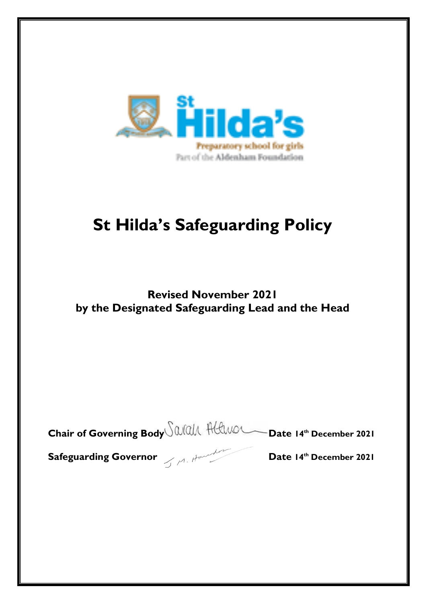

# **St Hilda's Safeguarding Policy**

# **Revised November 2021 by the Designated Safeguarding Lead and the Head**

| Chair of Governing Body all Helwer Date 14th December 2021 |
|------------------------------------------------------------|
|                                                            |

**Safeguarding Governor**  $\leq$   $\leq$   $\leq$   $\leq$   $\leq$   $\leq$   $\leq$   $\leq$   $\leq$   $\leq$   $\leq$   $\leq$   $\leq$   $\leq$   $\leq$   $\leq$   $\leq$   $\leq$   $\leq$   $\leq$   $\leq$   $\leq$   $\leq$   $\leq$   $\leq$   $\leq$   $\leq$   $\leq$   $\leq$   $\leq$   $\leq$   $\leq$   $\leq$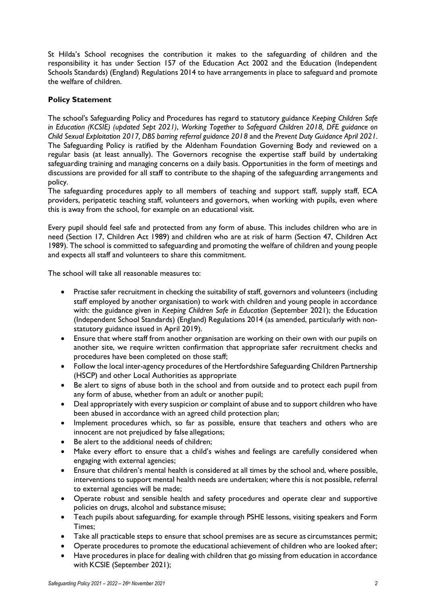St Hilda's School recognises the contribution it makes to the safeguarding of children and the responsibility it has under Section 157 of the Education Act 2002 and the Education (Independent Schools Standards) (England) Regulations 2014 to have arrangements in place to safeguard and promote the welfare of children.

# **Policy Statement**

The school's Safeguarding Policy and Procedures has regard to statutory guidance *Keeping Children Safe in Education (KCSIE) (updated Sept 2021)*, *Working Together to Safeguard Children 2018, DFE guidance on Child Sexual Exploitation 2017, DBS barring referral guidance 2018* and the *Prevent Duty Guidance April 2021.* The Safeguarding Policy is ratified by the Aldenham Foundation Governing Body and reviewed on a regular basis (at least annually). The Governors recognise the expertise staff build by undertaking safeguarding training and managing concerns on a daily basis. Opportunities in the form of meetings and discussions are provided for all staff to contribute to the shaping of the safeguarding arrangements and policy.

The safeguarding procedures apply to all members of teaching and support staff, supply staff, ECA providers, peripatetic teaching staff, volunteers and governors, when working with pupils, even where this is away from the school, for example on an educational visit.

Every pupil should feel safe and protected from any form of abuse. This includes children who are in need (Section 17, Children Act 1989) and children who are at risk of harm (Section 47, Children Act 1989). The school is committed to safeguarding and promoting the welfare of children and young people and expects all staff and volunteers to share this commitment.

The school will take all reasonable measures to:

- Practise safer recruitment in checking the suitability of staff, governors and volunteers (including staff employed by another organisation) to work with children and young people in accordance with: the guidance given in *Keeping Children Safe in Education* (September 2021); the Education (Independent School Standards) (England) Regulations 2014 (as amended, particularly with nonstatutory guidance issued in April 2019).
- Ensure that where staff from another organisation are working on their own with our pupils on another site, we require written confirmation that appropriate safer recruitment checks and procedures have been completed on those staff;
- Follow the local inter-agency procedures of the Hertfordshire Safeguarding Children Partnership (HSCP) and other Local Authorities as appropriate
- Be alert to signs of abuse both in the school and from outside and to protect each pupil from any form of abuse, whether from an adult or another pupil;
- Deal appropriately with every suspicion or complaint of abuse and to support children who have been abused in accordance with an agreed child protection plan;
- Implement procedures which, so far as possible, ensure that teachers and others who are innocent are not prejudiced by false allegations;
- Be alert to the additional needs of children;
- Make every effort to ensure that a child's wishes and feelings are carefully considered when engaging with external agencies;
- Ensure that children's mental health is considered at all times by the school and, where possible, interventions to support mental health needs are undertaken; where this is not possible, referral to external agencies will be made;
- Operate robust and sensible health and safety procedures and operate clear and supportive policies on drugs, alcohol and substance misuse;
- Teach pupils about safeguarding, for example through PSHE lessons, visiting speakers and Form Times;
- Take all practicable steps to ensure that school premises are as secure as circumstances permit;
- Operate procedures to promote the educational achievement of children who are looked after;
- Have procedures in place for dealing with children that go missing from education in accordance with KCSIE (September 2021);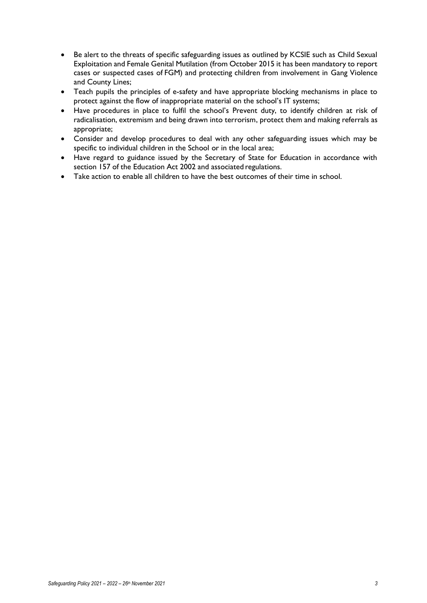- Be alert to the threats of specific safeguarding issues as outlined by KCSIE such as Child Sexual Exploitation and Female Genital Mutilation (from October 2015 it has been mandatory to report cases or suspected cases of FGM) and protecting children from involvement in Gang Violence and County Lines;
- Teach pupils the principles of e-safety and have appropriate blocking mechanisms in place to protect against the flow of inappropriate material on the school's IT systems;
- Have procedures in place to fulfil the school's Prevent duty, to identify children at risk of radicalisation, extremism and being drawn into terrorism, protect them and making referrals as appropriate;
- Consider and develop procedures to deal with any other safeguarding issues which may be specific to individual children in the School or in the local area;
- Have regard to guidance issued by the Secretary of State for Education in accordance with section 157 of the Education Act 2002 and associated regulations.
- Take action to enable all children to have the best outcomes of their time in school.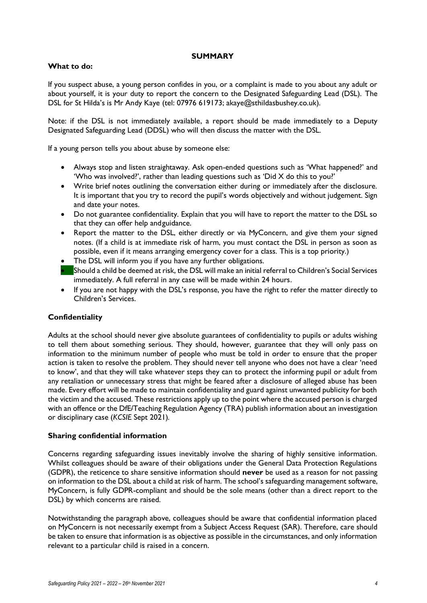#### **SUMMARY**

#### **What to do:**

If you suspect abuse, a young person confides in you, or a complaint is made to you about any adult or about yourself, it is your duty to report the concern to the Designated Safeguarding Lead (DSL). The DSL for St Hilda's is Mr Andy Kaye (tel: 07976 619173; akaye@sthildasbushey.co.uk).

Note: if the DSL is not immediately available, a report should be made immediately to a Deputy Designated Safeguarding Lead (DDSL) who will then discuss the matter with the DSL.

If a young person tells you about abuse by someone else:

- Always stop and listen straightaway. Ask open-ended questions such as 'What happened?' and 'Who was involved?', rather than leading questions such as 'Did X do this to you?'
- Write brief notes outlining the conversation either during or immediately after the disclosure. It is important that you try to record the pupil's words objectively and without judgement. Sign and date your notes.
- Do not guarantee confidentiality. Explain that you will have to report the matter to the DSL so that they can offer help andguidance.
- Report the matter to the DSL, either directly or via MyConcern, and give them your signed notes. (If a child is at immediate risk of harm, you must contact the DSL in person as soon as possible, even if it means arranging emergency cover for a class. This is a top priority.)
- The DSL will inform you if you have any further obligations.
- Should a child be deemed at risk, the DSL will make an initial referral to Children's Social Services immediately. A full referral in any case will be made within 24 hours.
- If you are not happy with the DSL's response, you have the right to refer the matter directly to Children's Services.

# **Confidentiality**

Adults at the school should never give absolute guarantees of confidentiality to pupils or adults wishing to tell them about something serious. They should, however, guarantee that they will only pass on information to the minimum number of people who must be told in order to ensure that the proper action is taken to resolve the problem. They should never tell anyone who does not have a clear 'need to know', and that they will take whatever steps they can to protect the informing pupil or adult from any retaliation or unnecessary stress that might be feared after a disclosure of alleged abuse has been made. Every effort will be made to maintain confidentiality and guard against unwanted publicity for both the victim and the accused. These restrictions apply up to the point where the accused person is charged with an offence or the DfE/Teaching Regulation Agency (TRA) publish information about an investigation or disciplinary case (*KCSIE* Sept 2021)*.*

#### **Sharing confidential information**

Concerns regarding safeguarding issues inevitably involve the sharing of highly sensitive information. Whilst colleagues should be aware of their obligations under the General Data Protection Regulations (GDPR), the reticence to share sensitive information should **never** be used as a reason for not passing on information to the DSL about a child at risk of harm. The school's safeguarding management software, MyConcern, is fully GDPR-compliant and should be the sole means (other than a direct report to the DSL) by which concerns are raised.

Notwithstanding the paragraph above, colleagues should be aware that confidential information placed on MyConcern is not necessarily exempt from a Subject Access Request (SAR). Therefore, care should be taken to ensure that information is as objective as possible in the circumstances, and only information relevant to a particular child is raised in a concern.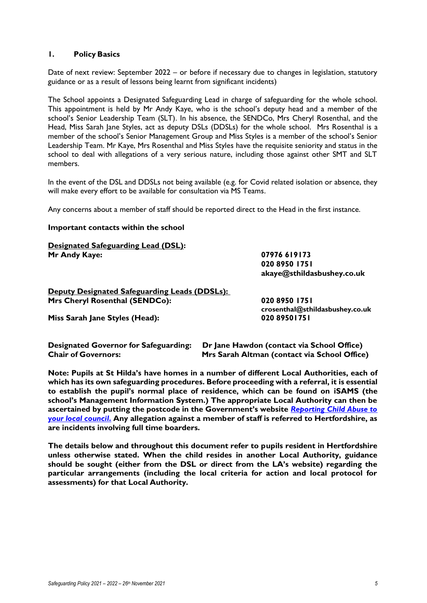#### **1. Policy Basics**

Date of next review: September 2022 – or before if necessary due to changes in legislation, statutory guidance or as a result of lessons being learnt from significant incidents)

The School appoints a Designated Safeguarding Lead in charge of safeguarding for the whole school. This appointment is held by Mr Andy Kaye, who is the school's deputy head and a member of the school's Senior Leadership Team (SLT). In his absence, the SENDCo, Mrs Cheryl Rosenthal, and the Head, Miss Sarah Jane Styles, act as deputy DSLs (DDSLs) for the whole school. Mrs Rosenthal is a member of the school's Senior Management Group and Miss Styles is a member of the school's Senior Leadership Team. Mr Kaye, Mrs Rosenthal and Miss Styles have the requisite seniority and status in the school to deal with allegations of a very serious nature, including those against other SMT and SLT members.

In the event of the DSL and DDSLs not being available (e.g. for Covid related isolation or absence, they will make every effort to be available for consultation via MS Teams.

Any concerns about a member of staff should be reported direct to the Head in the first instance.

#### **Important contacts within the school**

| Designated Safeguarding Lead (DSL):<br>Mr Andy Kaye: | 07976 619173<br>020 8950 1751<br>akaye@sthildasbushey.co.uk |
|------------------------------------------------------|-------------------------------------------------------------|
| Deputy Designated Safeguarding Leads (DDSLs):        |                                                             |
| Mrs Cheryl Rosenthal (SENDCo):                       | 020 8950 1751<br>crosenthal@sthildasbushey.co.uk            |
| Miss Sarah Jane Styles (Head):                       | 020 8950   75                                               |
|                                                      |                                                             |

**Designated Governor for Safeguarding: Dr Jane Hawdon (contact via School Office) Chair of Governors: Mrs Sarah Altman (contact via School Office)**

**Note: Pupils at St Hilda's have homes in a number of different Local Authorities, each of which has its own safeguarding procedures. Before proceeding with a referral, it is essential to establish the pupil's normal place of residence, which can be found on iSAMS (the school's Management Information System.) The appropriate Local Authority can then be ascertained by putting the postcode in the Government's website** *[Reporting Child Abuse to](https://www.gov.uk/report-child-abuse-to-local-council)  [your local council](https://www.gov.uk/report-child-abuse-to-local-council)***. Any allegation against a member of staff is referred to Hertfordshire, as are incidents involving full time boarders.**

**The details below and throughout this document refer to pupils resident in Hertfordshire unless otherwise stated. When the child resides in another Local Authority, guidance should be sought (either from the DSL or direct from the LA's website) regarding the particular arrangements (including the local criteria for action and local protocol for assessments) for that Local Authority.**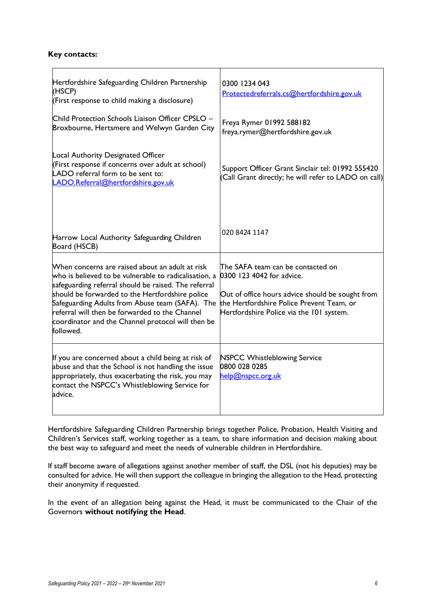#### **Key contacts:**

| Hertfordshire Safeguarding Children Partnership<br>(HSCP)<br>(First response to child making a disclosure)                                                                                                                                                                                                                                                                                                                           | 0300 1234 043<br>Protectedreferrals.cs@hertfordshire.gov.uk                                                                                                    |
|--------------------------------------------------------------------------------------------------------------------------------------------------------------------------------------------------------------------------------------------------------------------------------------------------------------------------------------------------------------------------------------------------------------------------------------|----------------------------------------------------------------------------------------------------------------------------------------------------------------|
| Child Protection Schools Liaison Officer CPSLO -<br>Broxbourne, Hertsmere and Welwyn Garden City                                                                                                                                                                                                                                                                                                                                     | Freya Rymer 01992 588182<br>freya.rymer@hertfordshire.gov.uk                                                                                                   |
| Local Authority Designated Officer<br>(First response if concerns over adult at school)<br>LADO referral form to be sent to:<br>LADO.Referral@hertfordshire.gov.uk                                                                                                                                                                                                                                                                   | Support Officer Grant Sinclair tel: 01992 555420<br>(Call Grant directly; he will refer to LADO on call)                                                       |
| Harrow Local Authority Safeguarding Children<br>Board (HSCB)                                                                                                                                                                                                                                                                                                                                                                         | 020 8424 1147                                                                                                                                                  |
| When concerns are raised about an adult at risk<br>who is believed to be vulnerable to radicalisation, a<br>safeguarding referral should be raised. The referral<br>should be forwarded to the Hertfordshire police<br>Safeguarding Adults from Abuse team (SAFA). The the Hertfordshire Police Prevent Team, or<br>referral will then be forwarded to the Channel<br>coordinator and the Channel protocol will then be<br>followed. | The SAFA team can be contacted on<br>0300 123 4042 for advice.<br>Out of office hours advice should be sought from<br>Hertfordshire Police via the 101 system. |
| If you are concerned about a child being at risk of<br>abuse and that the School is not handling the issue<br>appropriately, thus exacerbating the risk, you may<br>contact the NSPCC's Whistleblowing Service for<br>advice.                                                                                                                                                                                                        | <b>NSPCC Whistleblowing Service</b><br>0800 028 0285<br>help@nspcc.org.uk                                                                                      |

Hertfordshire Safeguarding Children Partnership brings together Police, Probation, Health Visiting and Children's Services staff, working together as a team, to share information and decision making about the best way to safeguard and meet the needs of vulnerable children in Hertfordshire.

If staff become aware of allegations against another member of staff, the DSL (not his deputies) may be consulted for advice. He will then support the colleague in bringing the allegation to the Head, protecting their anonymity if requested.

In the event of an allegation being against the Head, it must be communicated to the Chair of the Governors **without notifying the Head**.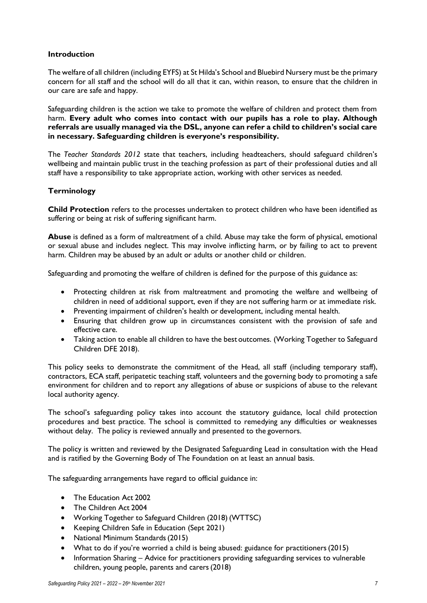# **Introduction**

The welfare of all children (including EYFS) at St Hilda's School and Bluebird Nursery must be the primary concern for all staff and the school will do all that it can, within reason, to ensure that the children in our care are safe and happy.

Safeguarding children is the action we take to promote the welfare of children and protect them from harm. **Every adult who comes into contact with our pupils has a role to play. Although referrals are usually managed via the DSL, anyone can refer a child to children's social care in necessary. Safeguarding children is everyone's responsibility.**

The *Teacher Standards 2012* state that teachers, including headteachers, should safeguard children's wellbeing and maintain public trust in the teaching profession as part of their professional duties and all staff have a responsibility to take appropriate action, working with other services as needed.

#### **Terminology**

**Child Protection** refers to the processes undertaken to protect children who have been identified as suffering or being at risk of suffering significant harm.

**Abuse** is defined as a form of maltreatment of a child. Abuse may take the form of physical, emotional or sexual abuse and includes neglect. This may involve inflicting harm, or by failing to act to prevent harm. Children may be abused by an adult or adults or another child or children.

Safeguarding and promoting the welfare of children is defined for the purpose of this guidance as:

- Protecting children at risk from maltreatment and promoting the welfare and wellbeing of children in need of additional support, even if they are not suffering harm or at immediate risk.
- Preventing impairment of children's health or development, including mental health.
- Ensuring that children grow up in circumstances consistent with the provision of safe and effective care.
- Taking action to enable all children to have the best outcomes. (Working Together to Safeguard Children DFE 2018).

This policy seeks to demonstrate the commitment of the Head, all staff (including temporary staff), contractors, ECA staff, peripatetic teaching staff, volunteers and the governing body to promoting a safe environment for children and to report any allegations of abuse or suspicions of abuse to the relevant local authority agency.

The school's safeguarding policy takes into account the statutory guidance, local child protection procedures and best practice. The school is committed to remedying any difficulties or weaknesses without delay. The policy is reviewed annually and presented to the governors.

The policy is written and reviewed by the Designated Safeguarding Lead in consultation with the Head and is ratified by the Governing Body of The Foundation on at least an annual basis.

The safeguarding arrangements have regard to official guidance in:

- The Education Act 2002
- The Children Act 2004
- Working Together to Safeguard Children (2018) (WTTSC)
- Keeping Children Safe in Education (Sept 2021)
- National Minimum Standards(2015)
- What to do if you're worried a child is being abused: guidance for practitioners (2015)
- Information Sharing Advice for practitioners providing safeguarding services to vulnerable children, young people, parents and carers(2018)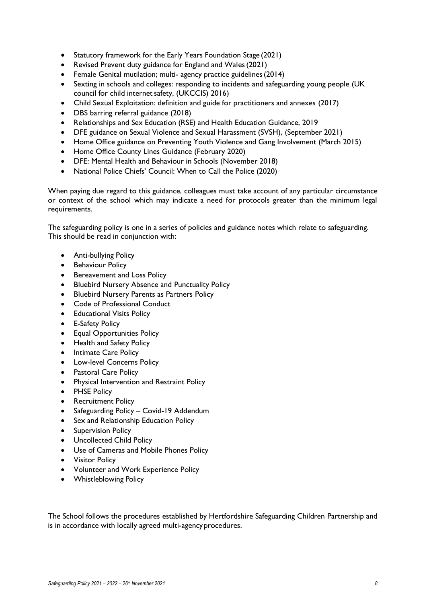- Statutory framework for the Early Years Foundation Stage (2021)
- Revised Prevent duty guidance for England and Wales(2021)
- Female Genital mutilation; multi-agency practice guidelines (2014)
- Sexting in schools and colleges: responding to incidents and safeguarding young people (UK council for child internet safety, (UKCCIS) 2016)
- Child Sexual Exploitation: definition and guide for practitioners and annexes (2017)
- DBS barring referral guidance (2018)
- Relationships and Sex Education (RSE) and Health Education Guidance, 2019
- DFE guidance on Sexual Violence and Sexual Harassment (SVSH), (September 2021)
- Home Office guidance on Preventing Youth Violence and Gang Involvement (March 2015)
- Home Office County Lines Guidance (February 2020)
- DFE: Mental Health and Behaviour in Schools (November 2018)
- National Police Chiefs' Council: When to Call the Police (2020)

When paying due regard to this guidance, colleagues must take account of any particular circumstance or context of the school which may indicate a need for protocols greater than the minimum legal requirements.

The safeguarding policy is one in a series of policies and guidance notes which relate to safeguarding. This should be read in conjunction with:

- Anti-bullying Policy
- Behaviour Policy
- Bereavement and Loss Policy
- Bluebird Nursery Absence and Punctuality Policy
- Bluebird Nursery Parents as Partners Policy
- Code of Professional Conduct
- Educational Visits Policy
- E-Safety Policy
- Equal Opportunities Policy
- Health and Safety Policy
- Intimate Care Policy
- Low-level Concerns Policy
- Pastoral Care Policy
- Physical Intervention and Restraint Policy
- PHSE Policy
- Recruitment Policy
- Safeguarding Policy Covid-19 Addendum
- Sex and Relationship Education Policy
- Supervision Policy
- Uncollected Child Policy
- Use of Cameras and Mobile Phones Policy
- Visitor Policy
- Volunteer and Work Experience Policy
- Whistleblowing Policy

The School follows the procedures established by Hertfordshire Safeguarding Children Partnership and is in accordance with locally agreed multi-agencyprocedures.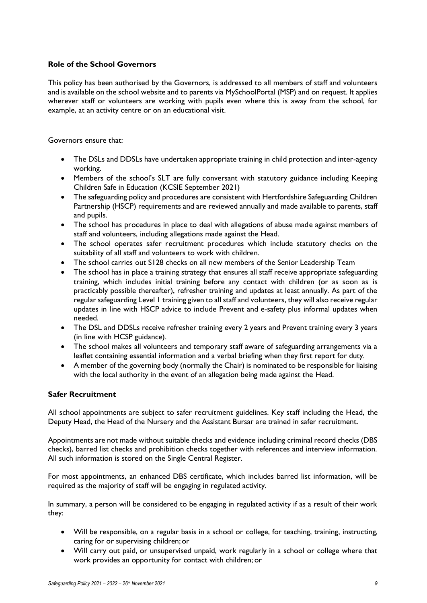# **Role of the School Governors**

This policy has been authorised by the Governors, is addressed to all members of staff and volunteers and is available on the school website and to parents via MySchoolPortal (MSP) and on request. It applies wherever staff or volunteers are working with pupils even where this is away from the school, for example, at an activity centre or on an educational visit.

Governors ensure that:

- The DSLs and DDSLs have undertaken appropriate training in child protection and inter-agency working.
- Members of the school's SLT are fully conversant with statutory guidance including Keeping Children Safe in Education (KCSIE September 2021)
- The safeguarding policy and procedures are consistent with Hertfordshire Safeguarding Children Partnership (HSCP) requirements and are reviewed annually and made available to parents, staff and pupils.
- The school has procedures in place to deal with allegations of abuse made against members of staff and volunteers, including allegations made against the Head.
- The school operates safer recruitment procedures which include statutory checks on the suitability of all staff and volunteers to work with children.
- The school carries out S128 checks on all new members of the Senior Leadership Team
- The school has in place a training strategy that ensures all staff receive appropriate safeguarding training, which includes initial training before any contact with children (or as soon as is practicably possible thereafter), refresher training and updates at least annually. As part of the regular safeguarding Level 1 training given to all staff and volunteers, they will also receive regular updates in line with HSCP advice to include Prevent and e-safety plus informal updates when needed.
- The DSL and DDSLs receive refresher training every 2 years and Prevent training every 3 years (in line with HCSP guidance).
- The school makes all volunteers and temporary staff aware of safeguarding arrangements via a leaflet containing essential information and a verbal briefing when they first report for duty.
- A member of the governing body (normally the Chair) is nominated to be responsible for liaising with the local authority in the event of an allegation being made against the Head.

#### **Safer Recruitment**

All school appointments are subject to safer recruitment guidelines. Key staff including the Head, the Deputy Head, the Head of the Nursery and the Assistant Bursar are trained in safer recruitment.

Appointments are not made without suitable checks and evidence including criminal record checks (DBS checks), barred list checks and prohibition checks together with references and interview information. All such information is stored on the Single Central Register.

For most appointments, an enhanced DBS certificate, which includes barred list information, will be required as the majority of staff will be engaging in regulated activity.

In summary, a person will be considered to be engaging in regulated activity if as a result of their work they:

- Will be responsible, on a regular basis in a school or college, for teaching, training, instructing, caring for or supervising children; or
- Will carry out paid, or unsupervised unpaid, work regularly in a school or college where that work provides an opportunity for contact with children; or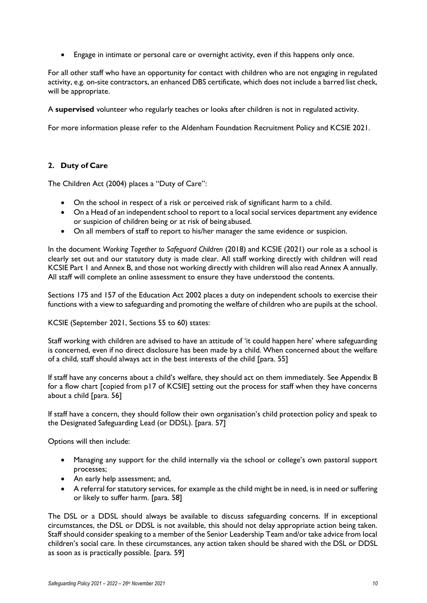• Engage in intimate or personal care or overnight activity, even if this happens only once.

For all other staff who have an opportunity for contact with children who are not engaging in regulated activity, e.g. on-site contractors, an enhanced DBS certificate, which does not include a barred list check, will be appropriate.

A **supervised** volunteer who regularly teaches or looks after children is not in regulated activity.

For more information please refer to the Aldenham Foundation Recruitment Policy and KCSIE 2021.

# **2. Duty of Care**

The Children Act (2004) places a "Duty of Care":

- On the school in respect of a risk or perceived risk of significant harm to a child.
- On a Head of an independent school to report to a local social services department any evidence or suspicion of children being or at risk of being abused.
- On all members of staff to report to his/her manager the same evidence or suspicion.

In the document *Working Together to Safeguard Children* (2018) and KCSIE (2021) our role as a school is clearly set out and our statutory duty is made clear. All staff working directly with children will read KCSIE Part 1 and Annex B, and those not working directly with children will also read Annex A annually. All staff will complete an online assessment to ensure they have understood the contents.

Sections 175 and 157 of the Education Act 2002 places a duty on independent schools to exercise their functions with a view to safeguarding and promoting the welfare of children who are pupils at the school.

KCSIE (September 2021, Sections 55 to 60) states:

Staff working with children are advised to have an attitude of 'it could happen here' where safeguarding is concerned, even if no direct disclosure has been made by a child. When concerned about the welfare of a child, staff should always act in the best interests of the child [para. 55]

If staff have any concerns about a child's welfare, they should act on them immediately. See Appendix B for a flow chart [copied from p17 of KCSIE] setting out the process for staff when they have concerns about a child [para. 56]

If staff have a concern, they should follow their own organisation's child protection policy and speak to the Designated Safeguarding Lead (or DDSL). [para. 57]

Options will then include:

- Managing any support for the child internally via the school or college's own pastoral support processes;
- An early help assessment; and,
- A referral for statutory services, for example as the child might be in need, is in need or suffering or likely to suffer harm. [para. 58]

The DSL or a DDSL should always be available to discuss safeguarding concerns. If in exceptional circumstances, the DSL or DDSL is not available, this should not delay appropriate action being taken. Staff should consider speaking to a member of the Senior Leadership Team and/or take advice from local children's social care. In these circumstances, any action taken should be shared with the DSL or DDSL as soon as is practically possible. [para. 59]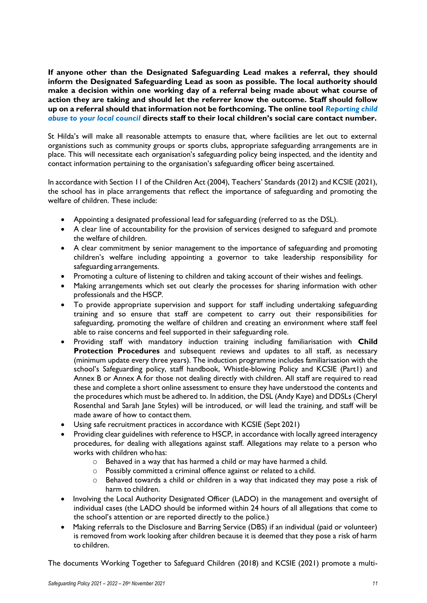**If anyone other than the Designated Safeguarding Lead makes a referral, they should inform the Designated Safeguarding Lead as soon as possible. The local authority should make a decision within one working day of a referral being made about what course of action they are taking and should let the referrer know the outcome. Staff should follow up on a referral should that information not be forthcoming. The online tool** *[Reporting child](https://www.gov.uk/report-child-abuse-to-local-council)  [abuse to your local council](https://www.gov.uk/report-child-abuse-to-local-council)* **directs staff to their local children's social care contact number.**

St Hilda's will make all reasonable attempts to enasure that, where facilities are let out to external organistions such as community groups or sports clubs, appropriate safeguarding arrangements are in place. This will necessitate each organisation's safeguarding policy being inspected, and the identity and contact information pertaining to the organisation's safeguarding officer being ascertained.

In accordance with Section 11 of the Children Act (2004), Teachers' Standards (2012) and KCSIE (2021), the school has in place arrangements that reflect the importance of safeguarding and promoting the welfare of children. These include:

- Appointing a designated professional lead forsafeguarding (referred to as the DSL).
- A clear line of accountability for the provision of services designed to safeguard and promote the welfare of children.
- A clear commitment by senior management to the importance of safeguarding and promoting children's welfare including appointing a governor to take leadership responsibility for safeguarding arrangements.
- Promoting a culture of listening to children and taking account of their wishes and feelings.
- Making arrangements which set out clearly the processes for sharing information with other professionals and the HSCP.
- To provide appropriate supervision and support for staff including undertaking safeguarding training and so ensure that staff are competent to carry out their responsibilities for safeguarding, promoting the welfare of children and creating an environment where staff feel able to raise concerns and feel supported in their safeguarding role.
- Providing staff with mandatory induction training including familiarisation with **Child Protection Procedures** and subsequent reviews and updates to all staff, as necessary (minimum update every three years). The induction programme includes familiarisation with the school's Safeguarding policy, staff handbook, Whistle-blowing Policy and KCSIE (Part1) and Annex B or Annex A for those not dealing directly with children. All staff are required to read these and complete a short online assessment to ensure they have understood the contents and the procedures which must be adhered to. In addition, the DSL (Andy Kaye) and DDSLs (Cheryl Rosenthal and Sarah Jane Styles) will be introduced, or will lead the training, and staff will be made aware of how to contact them.
- Using safe recruitment practices in accordance with KCSIE (Sept 2021)
- Providing clear guidelines with reference to HSCP, in accordance with locally agreed interagency procedures, for dealing with allegations against staff. Allegations may relate to a person who works with children who has:
	- o Behaved in a way that has harmed a child or may have harmed a child.
	- o Possibly committed a criminal offence against or related to a child.
	- o Behaved towards a child or children in a way that indicated they may pose a risk of harm to children.
- Involving the Local Authority Designated Officer (LADO) in the management and oversight of individual cases (the LADO should be informed within 24 hours of all allegations that come to the school's attention or are reported directly to the police.)
- Making referrals to the Disclosure and Barring Service (DBS) if an individual (paid or volunteer) is removed from work looking after children because it is deemed that they pose a risk of harm to children.

The documents Working Together to Safeguard Children (2018) and KCSIE (2021) promote a multi-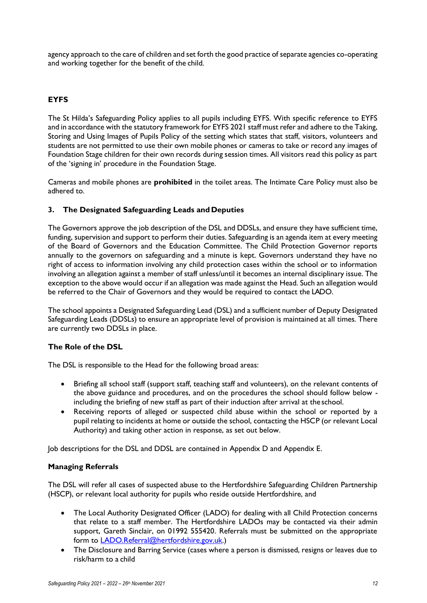agency approach to the care of children and set forth the good practice of separate agencies co-operating and working together for the benefit of the child.

# **EYFS**

The St Hilda's Safeguarding Policy applies to all pupils including EYFS. With specific reference to EYFS and in accordance with the statutory framework for EYFS 2021 staff must refer and adhere to the Taking, Storing and Using Images of Pupils Policy of the setting which states that staff, visitors, volunteers and students are not permitted to use their own mobile phones or cameras to take or record any images of Foundation Stage children for their own records during session times. All visitors read this policy as part of the 'signing in' procedure in the Foundation Stage.

Cameras and mobile phones are **prohibited** in the toilet areas. The Intimate Care Policy must also be adhered to.

# **3. The Designated Safeguarding Leads and Deputies**

The Governors approve the job description of the DSL and DDSLs, and ensure they have sufficient time, funding, supervision and support to perform their duties. Safeguarding is an agenda item at every meeting of the Board of Governors and the Education Committee. The Child Protection Governor reports annually to the governors on safeguarding and a minute is kept. Governors understand they have no right of access to information involving any child protection cases within the school or to information involving an allegation against a member of staff unless/until it becomes an internal disciplinary issue. The exception to the above would occur if an allegation was made against the Head. Such an allegation would be referred to the Chair of Governors and they would be required to contact the LADO.

The school appoints a Designated Safeguarding Lead (DSL) and a sufficient number of Deputy Designated Safeguarding Leads (DDSLs) to ensure an appropriate level of provision is maintained at all times. There are currently two DDSLs in place.

# **The Role of the DSL**

The DSL is responsible to the Head for the following broad areas:

- Briefing all school staff (support staff, teaching staff and volunteers), on the relevant contents of the above guidance and procedures, and on the procedures the school should follow below including the briefing of new staff as part of their induction after arrival at theschool.
- Receiving reports of alleged or suspected child abuse within the school or reported by a pupil relating to incidents at home or outside the school, contacting the HSCP (or relevant Local Authority) and taking other action in response, as set out below.

Job descriptions for the DSL and DDSL are contained in Appendix D and Appendix E.

# **Managing Referrals**

The DSL will refer all cases of suspected abuse to the Hertfordshire Safeguarding Children Partnership (HSCP), or relevant local authority for pupils who reside outside Hertfordshire, and

- The Local Authority Designated Officer (LADO) for dealing with all Child Protection concerns that relate to a staff member. The Hertfordshire LADOs may be contacted via their admin support, Gareth Sinclair, on 01992 555420. Referrals must be submitted on the appropriate form to [LADO.Referral@hertfordshire.gov.uk.](mailto:LADO.Referral@hertfordshire.gov.uk))
- The Disclosure and Barring Service (cases where a person is dismissed, resigns or leaves due to risk/harm to a child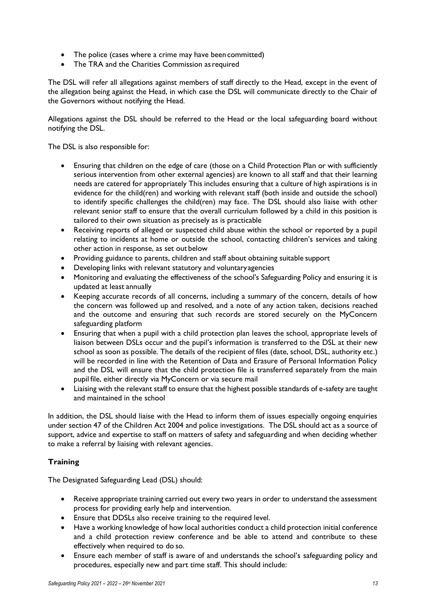- The police (cases where a crime may have been committed)
- The TRA and the Charities Commission as required

The DSL will refer all allegations against members of staff directly to the Head, except in the event of the allegation being against the Head, in which case the DSL will communicate directly to the Chair of the Governors without notifying the Head.

Allegations against the DSL should be referred to the Head or the local safeguarding board without notifying the DSL.

The DSL is also responsible for:

- Ensuring that children on the edge of care (those on a Child Protection Plan or with sufficiently serious intervention from other external agencies) are known to all staff and that their learning needs are catered for appropriately This includes ensuring that a culture of high aspirations is in evidence for the child(ren) and working with relevant staff (both inside and outside the school) to identify specific challenges the child(ren) may face. The DSL should also liaise with other relevant senior staff to ensure that the overall curriculum followed by a child in this position is tailored to their own situation as precisely as is practicable
- Receiving reports of alleged or suspected child abuse within the school or reported by a pupil relating to incidents at home or outside the school, contacting children's services and taking other action in response, as set out below
- Providing guidance to parents, children and staff about obtaining suitable support
- Developing links with relevant statutory and voluntary agencies
- Monitoring and evaluating the effectiveness of the school's Safeguarding Policy and ensuring it is updated at least annually
- Keeping accurate records of all concerns, including a summary of the concern, details of how the concern was followed up and resolved, and a note of any action taken, decisions reached and the outcome and ensuring that such records are stored securely on the MyConcern safeguarding platform
- Ensuring that when a pupil with a child protection plan leaves the school, appropriate levels of liaison between DSLs occur and the pupil's information is transferred to the DSL at their new school as soon as possible. The details of the recipient of files (date, school, DSL, authority etc.) will be recorded in line with the Retention of Data and Erasure of Personal Information Policy and the DSL will ensure that the child protection file is transferred separately from the main pupil file, either directly via MyConcern or via secure mail
- Liaising with the relevant staff to ensure that the highest possible standards of e-safety are taught and maintained in the school

In addition, the DSL should liaise with the Head to inform them of issues especially ongoing enquiries under section 47 of the Children Act 2004 and police investigations. The DSL should act as a source of support, advice and expertise to staff on matters of safety and safeguarding and when deciding whether to make a referral by liaising with relevant agencies.

# **Training**

The Designated Safeguarding Lead (DSL) should:

- Receive appropriate training carried out every two years in order to understand the assessment process for providing early help and intervention.
- Ensure that DDSLs also receive training to the required level.
- Have a working knowledge of how local authorities conduct a child protection initial conference and a child protection review conference and be able to attend and contribute to these effectively when required to do so.
- Ensure each member of staff is aware of and understands the school's safeguarding policy and procedures, especially new and part time staff. This should include: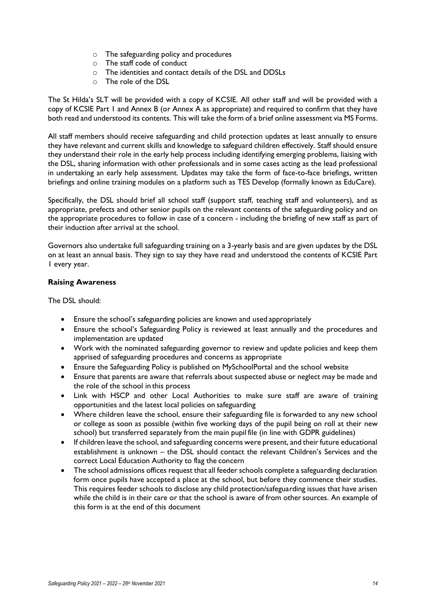- o The safeguarding policy and procedures
- o The staff code of conduct
- o The identities and contact details of the DSL and DDSLs
- o The role of the DSL

The St Hilda's SLT will be provided with a copy of KCSIE. All other staff and will be provided with a copy of KCSIE Part 1 and Annex B (or Annex A as appropriate) and required to confirm that they have both read and understood its contents. This will take the form of a brief online assessment via MS Forms.

All staff members should receive safeguarding and child protection updates at least annually to ensure they have relevant and current skills and knowledge to safeguard children effectively. Staff should ensure they understand their role in the early help process including identifying emerging problems, liaising with the DSL, sharing information with other professionals and in some cases acting as the lead professional in undertaking an early help assessment. Updates may take the form of face-to-face briefings, written briefings and online training modules on a platform such as TES Develop (formally known as EduCare).

Specifically, the DSL should brief all school staff (support staff, teaching staff and volunteers), and as appropriate, prefects and other senior pupils on the relevant contents of the safeguarding policy and on the appropriate procedures to follow in case of a concern - including the briefing of new staff as part of their induction after arrival at the school.

Governors also undertake full safeguarding training on a 3-yearly basis and are given updates by the DSL on at least an annual basis. They sign to say they have read and understood the contents of KCSIE Part 1 every year.

# **Raising Awareness**

The DSL should:

- Ensure the school's safeguarding policies are known and used appropriately
- Ensure the school's Safeguarding Policy is reviewed at least annually and the procedures and implementation are updated
- Work with the nominated safeguarding governor to review and update policies and keep them apprised of safeguarding procedures and concerns as appropriate
- Ensure the Safeguarding Policy is published on MySchoolPortal and the school website
- Ensure that parents are aware that referrals about suspected abuse or neglect may be made and the role of the school in this process
- Link with HSCP and other Local Authorities to make sure staff are aware of training opportunities and the latest local policies on safeguarding
- Where children leave the school, ensure their safeguarding file is forwarded to any new school or college as soon as possible (within five working days of the pupil being on roll at their new school) but transferred separately from the main pupil file (in line with GDPR guidelines)
- If children leave the school, and safeguarding concerns were present, and their future educational establishment is unknown – the DSL should contact the relevant Children's Services and the correct Local Education Authority to flag the concern
- The school admissions offices request that all feeder schools complete a safeguarding declaration form once pupils have accepted a place at the school, but before they commence their studies. This requires feeder schools to disclose any child protection/safeguarding issues that have arisen while the child is in their care or that the school is aware of from othersources. An example of this form is at the end of this document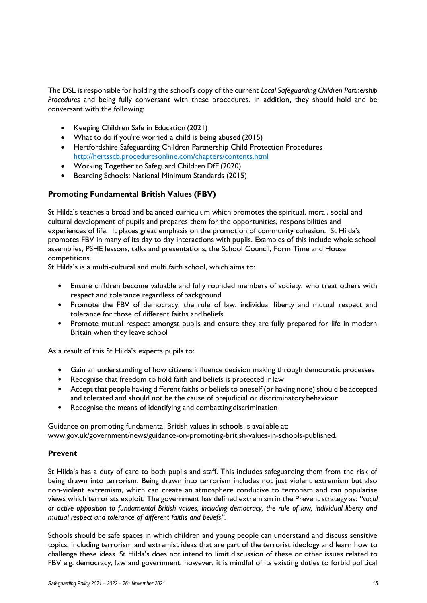The DSL is responsible for holding the school's copy of the current *Local Safeguarding Children Partnership Procedures* and being fully conversant with these procedures. In addition, they should hold and be conversant with the following:

- Keeping Children Safe in Education (2021)
- What to do if you're worried a child is being abused (2015)
- Hertfordshire Safeguarding Children Partnership Child Protection Procedures <http://hertsscb.proceduresonline.com/chapters/contents.html>
- Working Together to Safeguard Children DfE (2020)
- Boarding Schools: National Minimum Standards (2015)

# **Promoting Fundamental British Values (FBV)**

St Hilda's teaches a broad and balanced curriculum which promotes the spiritual, moral, social and cultural development of pupils and prepares them for the opportunities, responsibilities and experiences of life. It places great emphasis on the promotion of community cohesion. St Hilda's promotes FBV in many of its day to day interactions with pupils. Examples of this include whole school assemblies, PSHE lessons, talks and presentations, the School Council, Form Time and House competitions.

St Hilda's is a multi-cultural and multi faith school, which aims to:

- Ensure children become valuable and fully rounded members of society, who treat others with respect and tolerance regardless of background
- Promote the FBV of democracy, the rule of law, individual liberty and mutual respect and tolerance for those of different faiths and beliefs
- Promote mutual respect amongst pupils and ensure they are fully prepared for life in modern Britain when they leave school

As a result of this St Hilda's expects pupils to:

- Gain an understanding of how citizens influence decision making through democratic processes
- Recognise that freedom to hold faith and beliefs is protected in law
- Accept that people having different faiths or beliefs to oneself (or having none) should be accepted and tolerated and should not be the cause of prejudicial or discriminatory behaviour
- Recognise the means of identifying and combatting discrimination

Guidance on promoting fundamental British values in schools is available at: [www.gov.uk/government/news/guidance-on-promoting-british-values-in-schools-published.](http://www.gov.uk/government/news/guidance-on-promoting-british-values-in-schools-published)

#### **Prevent**

St Hilda's has a duty of care to both pupils and staff. This includes safeguarding them from the risk of being drawn into terrorism. Being drawn into terrorism includes not just violent extremism but also non-violent extremism, which can create an atmosphere conducive to terrorism and can popularise views which terrorists exploit. The government has defined extremism in the Prevent strategy as: *"vocal or active opposition to fundamental British values, including democracy, the rule of law, individual liberty and mutual respect and tolerance of different faiths and beliefs".*

Schools should be safe spaces in which children and young people can understand and discuss sensitive topics, including terrorism and extremist ideas that are part of the terrorist ideology and learn how to challenge these ideas. St Hilda's does not intend to limit discussion of these or other issues related to FBV e.g. democracy, law and government, however, it is mindful of its existing duties to forbid political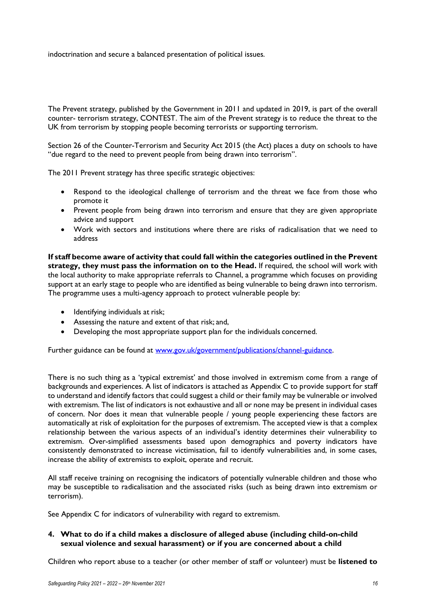indoctrination and secure a balanced presentation of political issues.

The Prevent strategy, published by the Government in 2011 and updated in 2019, is part of the overall counter- terrorism strategy, CONTEST. The aim of the Prevent strategy is to reduce the threat to the UK from terrorism by stopping people becoming terrorists or supporting terrorism.

Section 26 of the Counter-Terrorism and Security Act 2015 (the Act) places a duty on schools to have "due regard to the need to prevent people from being drawn into terrorism".

The 2011 Prevent strategy has three specific strategic objectives:

- Respond to the ideological challenge of terrorism and the threat we face from those who promote it
- Prevent people from being drawn into terrorism and ensure that they are given appropriate advice and support
- Work with sectors and institutions where there are risks of radicalisation that we need to address

**If staff become aware of activity that could fall within the categories outlined in the Prevent strategy, they must pass the information on to the Head.** If required, the school will work with the local authority to make appropriate referrals to Channel, a programme which focuses on providing support at an early stage to people who are identified as being vulnerable to being drawn into terrorism. The programme uses a multi-agency approach to protect vulnerable people by:

- Identifying individuals at risk;
- Assessing the nature and extent of that risk; and,
- Developing the most appropriate support plan for the individuals concerned.

Further guidance can be found at [www.gov.uk/government/publications/channel-guidance.](http://www.gov.uk/government/publications/channel-guidance)

There is no such thing as a 'typical extremist' and those involved in extremism come from a range of backgrounds and experiences. A list of indicators is attached as Appendix C to provide support for staff to understand and identify factors that could suggest a child or their family may be vulnerable or involved with extremism. The list of indicators is not exhaustive and all or none may be present in individual cases of concern. Nor does it mean that vulnerable people / young people experiencing these factors are automatically at risk of exploitation for the purposes of extremism. The accepted view is that a complex relationship between the various aspects of an individual's identity determines their vulnerability to extremism. Over-simplified assessments based upon demographics and poverty indicators have consistently demonstrated to increase victimisation, fail to identify vulnerabilities and, in some cases, increase the ability of extremists to exploit, operate and recruit.

All staff receive training on recognising the indicators of potentially vulnerable children and those who may be susceptible to radicalisation and the associated risks (such as being drawn into extremism or terrorism).

See Appendix C for indicators of vulnerability with regard to extremism.

#### **4. What to do if a child makes a disclosure of alleged abuse (including child-on-child sexual violence and sexual harassment) or if you are concerned about a child**

Children who report abuse to a teacher (or other member of staff or volunteer) must be **listened to**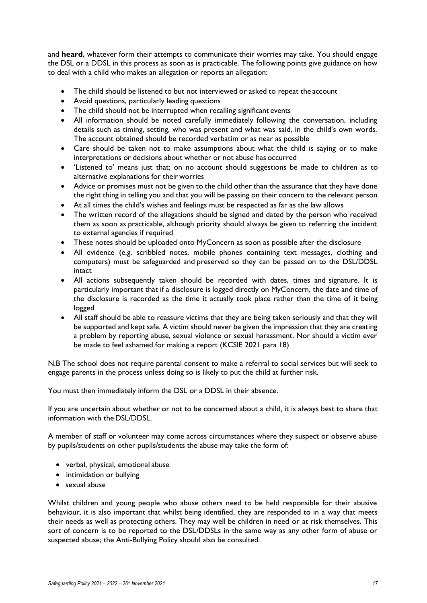and **heard**, whatever form their attempts to communicate their worries may take. You should engage the DSL or a DDSL in this process as soon as is practicable. The following points give guidance on how to deal with a child who makes an allegation or reports an allegation:

- The child should be listened to but not interviewed or asked to repeat the account
- Avoid questions, particularly leading questions
- The child should not be interrupted when recalling significant events
- All information should be noted carefully immediately following the conversation, including details such as timing, setting, who was present and what was said, in the child's own words. The account obtained should be recorded verbatim or as near as possible
- Care should be taken not to make assumptions about what the child is saying or to make interpretations or decisions about whether or not abuse has occurred
- 'Listened to' means just that; on no account should suggestions be made to children as to alternative explanations for their worries
- Advice or promises must not be given to the child other than the assurance that they have done the right thing in telling you and that you will be passing on their concern to the relevant person
- At all times the child's wishes and feelings must be respected as far as the law allows
- The written record of the allegations should be signed and dated by the person who received them as soon as practicable, although priority should always be given to referring the incident to external agencies if required
- These notes should be uploaded onto MyConcern as soon as possible after the disclosure
- All evidence (e.g. scribbled notes, mobile phones containing text messages, clothing and computers) must be safeguarded and preserved so they can be passed on to the DSL/DDSL intact
- All actions subsequently taken should be recorded with dates, times and signature. It is particularly important that if a disclosure is logged directly on MyConcern, the date and time of the disclosure is recorded as the time it actually took place rather than the time of it being logged
- All staff should be able to reassure victims that they are being taken seriously and that they will be supported and kept safe. A victim should never be given the impression that they are creating a problem by reporting abuse, sexual violence or sexual harassment. Nor should a victim ever be made to feel ashamed for making a report (KCSIE 2021 para 18)

N.B The school does not require parental consent to make a referral to social services but will seek to engage parents in the process unless doing so is likely to put the child at further risk.

You must then immediately inform the DSL or a DDSL in their absence.

If you are uncertain about whether or not to be concerned about a child, it is always best to share that information with the DSL/DDSL.

A member of staff or volunteer may come across circumstances where they suspect or observe abuse by pupils/students on other pupils/students the abuse may take the form of:

- verbal, physical, emotional abuse
- intimidation or bullying
- sexual abuse

Whilst children and young people who abuse others need to be held responsible for their abusive behaviour, it is also important that whilst being identified, they are responded to in a way that meets their needs as well as protecting others. They may well be children in need or at risk themselves. This sort of concern is to be reported to the DSL/DDSLs in the same way as any other form of abuse or suspected abuse; the Anti-Bullying Policy should also be consulted.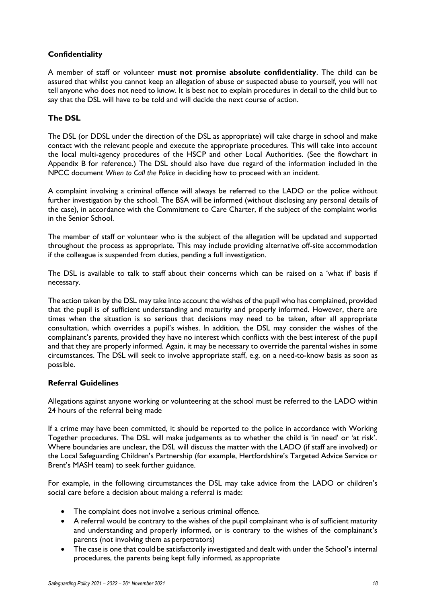# **Confidentiality**

A member of staff or volunteer **must not promise absolute confidentiality**. The child can be assured that whilst you cannot keep an allegation of abuse or suspected abuse to yourself, you will not tell anyone who does not need to know. It is best not to explain procedures in detail to the child but to say that the DSL will have to be told and will decide the next course of action.

# **The DSL**

The DSL (or DDSL under the direction of the DSL as appropriate) will take charge in school and make contact with the relevant people and execute the appropriate procedures. This will take into account the local multi-agency procedures of the HSCP and other Local Authorities. (See the flowchart in Appendix B for reference.) The DSL should also have due regard of the information included in the NPCC document *When to Call the Police* in deciding how to proceed with an incident.

A complaint involving a criminal offence will always be referred to the LADO or the police without further investigation by the school. The BSA will be informed (without disclosing any personal details of the case), in accordance with the Commitment to Care Charter, if the subject of the complaint works in the Senior School.

The member of staff or volunteer who is the subject of the allegation will be updated and supported throughout the process as appropriate. This may include providing alternative off-site accommodation if the colleague is suspended from duties, pending a full investigation.

The DSL is available to talk to staff about their concerns which can be raised on a 'what if' basis if necessary.

The action taken by the DSL may take into account the wishes of the pupil who has complained, provided that the pupil is of sufficient understanding and maturity and properly informed. However, there are times when the situation is so serious that decisions may need to be taken, after all appropriate consultation, which overrides a pupil's wishes. In addition, the DSL may consider the wishes of the complainant's parents, provided they have no interest which conflicts with the best interest of the pupil and that they are properly informed. Again, it may be necessary to override the parental wishes in some circumstances. The DSL will seek to involve appropriate staff, e.g. on a need-to-know basis as soon as possible.

# **Referral Guidelines**

Allegations against anyone working or volunteering at the school must be referred to the LADO within 24 hours of the referral being made

If a crime may have been committed, it should be reported to the police in accordance with Working Together procedures. The DSL will make judgements as to whether the child is 'in need' or 'at risk'. Where boundaries are unclear, the DSL will discuss the matter with the LADO (if staff are involved) or the Local Safeguarding Children's Partnership (for example, Hertfordshire's Targeted Advice Service or Brent's MASH team) to seek further guidance.

For example, in the following circumstances the DSL may take advice from the LADO or children's social care before a decision about making a referral is made:

- The complaint does not involve a serious criminal offence.
- A referral would be contrary to the wishes of the pupil complainant who is of sufficient maturity and understanding and properly informed, or is contrary to the wishes of the complainant's parents (not involving them as perpetrators)
- The case is one that could be satisfactorily investigated and dealt with under the School's internal procedures, the parents being kept fully informed, as appropriate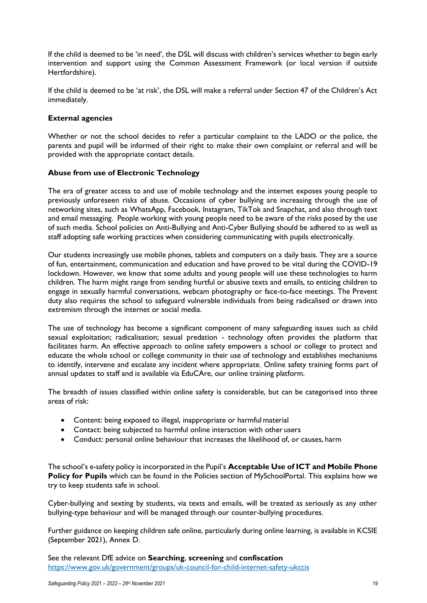If the child is deemed to be 'in need', the DSL will discuss with children's services whether to begin early intervention and support using the Common Assessment Framework (or local version if outside Hertfordshire).

If the child is deemed to be 'at risk', the DSL will make a referral under Section 47 of the Children's Act immediately.

#### **External agencies**

Whether or not the school decides to refer a particular complaint to the LADO or the police, the parents and pupil will be informed of their right to make their own complaint or referral and will be provided with the appropriate contact details.

#### **Abuse from use of Electronic Technology**

The era of greater access to and use of mobile technology and the internet exposes young people to previously unforeseen risks of abuse. Occasions of cyber bullying are increasing through the use of networking sites, such as WhatsApp, Facebook, Instagram, TikTok and Snapchat, and also through text and email messaging. People working with young people need to be aware of the risks posed by the use of such media. School policies on Anti-Bullying and Anti-Cyber Bullying should be adhered to as well as staff adopting safe working practices when considering communicating with pupils electronically.

Our students increasingly use mobile phones, tablets and computers on a daily basis. They are a source of fun, entertainment, communication and education and have proved to be vital during the COVID-19 lockdown. However, we know that some adults and young people will use these technologies to harm children. The harm might range from sending hurtful or abusive texts and emails, to enticing children to engage in sexually harmful conversations, webcam photography or face-to-face meetings. The Prevent duty also requires the school to safeguard vulnerable individuals from being radicalised or drawn into extremism through the internet or social media.

The use of technology has become a significant component of many safeguarding issues such as child sexual exploitation; radicalisation; sexual predation - technology often provides the platform that facilitates harm. An effective approach to online safety empowers a school or college to protect and educate the whole school or college community in their use of technology and establishes mechanisms to identify, intervene and escalate any incident where appropriate. Online safety training forms part of annual updates to staff and is available via EduCAre, our online training platform.

The breadth of issues classified within online safety is considerable, but can be categorised into three areas of risk:

- Content: being exposed to illegal, inappropriate or harmful material
- Contact: being subjected to harmful online interaction with other users
- Conduct: personal online behaviour that increases the likelihood of, or causes, harm

The school's e-safety policy is incorporated in the Pupil's **Acceptable Use of ICT and Mobile Phone Policy for Pupils** which can be found in the Policies section of MySchoolPortal. This explains how we try to keep students safe in school.

Cyber-bullying and sexting by students, via texts and emails, will be treated as seriously as any other bullying-type behaviour and will be managed through our counter-bullying procedures.

Further guidance on keeping children safe online, particularly during online learning, is available in KCSIE (September 2021), Annex D.

See the relevant DfE advice on **Searching**, **screening** and **[confiscation](https://www.gov.uk/government/uploads/system/uploads/attachment_data/file/444053/Searching_screening_confiscation_advice_Reviewed_July_2015.pdf)** https://www.gov.uk/government/groups/uk-council-for-child-internet-safety-ukccis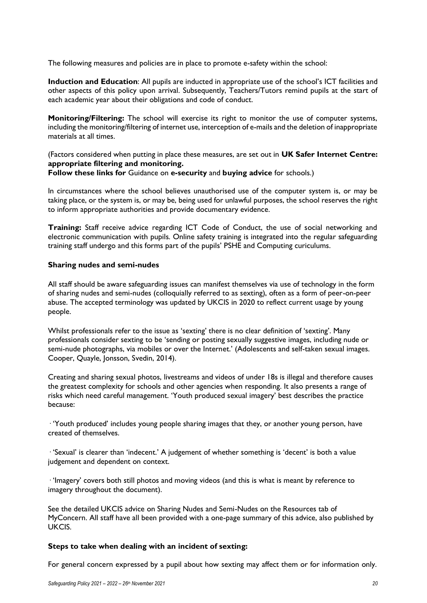The following measures and policies are in place to promote e-safety within the school:

**Induction and Education**: All pupils are inducted in appropriate use of the school's ICT facilities and other aspects of this policy upon arrival. Subsequently, Teachers/Tutors remind pupils at the start of each academic year about their obligations and code of conduct.

**Monitoring/Filtering:** The school will exercise its right to monitor the use of computer systems, including the monitoring/filtering of internet use, interception of e-mails and the deletion of inappropriate materials at all times.

(Factors considered when putting in place these measures, are set out in **[UK Safer](http://www.saferinternet.org.uk/advice-and-resources/teachers-and-professionals/appropriate-filtering-and-monitoring) [Internet](http://www.saferinternet.org.uk/advice-and-resources/teachers-and-professionals/appropriate-filtering-and-monitoring) [Centre:](http://www.saferinternet.org.uk/advice-and-resources/teachers-and-professionals/appropriate-filtering-and-monitoring)  [appropriate filtering and monitoring.](http://www.saferinternet.org.uk/advice-and-resources/teachers-and-professionals/appropriate-filtering-and-monitoring)**

**Follow these links for** Guidance on **[e-security](http://www.nen.gov.uk/)** and **[buying advice](https://www.gov.uk/guidance/buying-for-schools)** for schools.)

In circumstances where the school believes unauthorised use of the computer system is, or may be taking place, or the system is, or may be, being used for unlawful purposes, the school reserves the right to inform appropriate authorities and provide documentary evidence.

**Training:** Staff receive advice regarding ICT Code of Conduct, the use of social networking and electronic communication with pupils. Online safety training is integrated into the regular safeguarding training staff undergo and this forms part of the pupils' PSHE and Computing curiculums.

#### **Sharing nudes and semi-nudes**

All staff should be aware safeguarding issues can manifest themselves via use of technology in the form of sharing nudes and semi-nudes (colloquially referred to as sexting), often as a form of peer-on-peer abuse. The accepted terminology was updated by UKCIS in 2020 to reflect current usage by young people.

Whilst professionals refer to the issue as 'sexting' there is no clear definition of 'sexting'. Many professionals consider sexting to be 'sending or posting sexually suggestive images, including nude or semi-nude photographs, via mobiles or over the Internet.' (Adolescents and self-taken sexual images. Cooper, Quayle, Jonsson, Svedin, 2014).

Creating and sharing sexual photos, livestreams and videos of under 18s is illegal and therefore causes the greatest complexity for schools and other agencies when responding. It also presents a range of risks which need careful management. 'Youth produced sexual imagery' best describes the practice because:

· 'Youth produced' includes young people sharing images that they, or another young person, have created of themselves.

· 'Sexual' is clearer than 'indecent.' A judgement of whether something is 'decent' is both a value judgement and dependent on context.

· 'Imagery' covers both still photos and moving videos (and this is what is meant by reference to imagery throughout the document).

See the detailed UKCIS advice on Sharing Nudes and Semi-Nudes on the Resources tab of MyConcern. All staff have all been provided with a one-page summary of this advice, also published by UKCIS.

#### **Steps to take when dealing with an incident of sexting:**

For general concern expressed by a pupil about how sexting may affect them or for information only.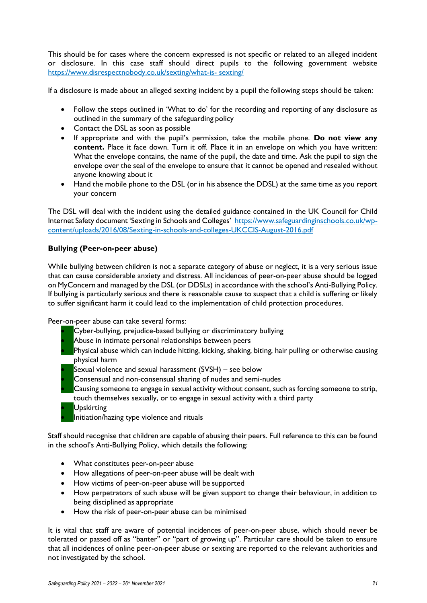This should be for cases where the concern expressed is not specific or related to an alleged incident or disclosure. In this case staff should direct pupils to the following government website [https://www.disrespectnobody.co.uk/sexting/what-is-](https://www.disrespectnobody.co.uk/sexting/what-is-sexting/) [sexting/](https://www.disrespectnobody.co.uk/sexting/what-is-sexting/)

If a disclosure is made about an alleged sexting incident by a pupil the following steps should be taken:

- Follow the steps outlined in 'What to do' for the recording and reporting of any disclosure as outlined in the summary of the safeguarding policy
- Contact the DSL as soon as possible
- If appropriate and with the pupil's permission, take the mobile phone. **Do not view any content.** Place it face down. Turn it off. Place it in an envelope on which you have written: What the envelope contains, the name of the pupil, the date and time. Ask the pupil to sign the envelope over the seal of the envelope to ensure that it cannot be opened and resealed without anyone knowing about it
- Hand the mobile phone to the DSL (or in his absence the DDSL) at the same time as you report your concern

The DSL will deal with the incident using the detailed guidance contained in the UK Council for Child Internet Safety document 'Sexting in Schools and Colleges' [https://www.safeguardinginschools.co.uk/wp](https://www.safeguardinginschools.co.uk/wp-content/uploads/2016/08/Sexting-in-schools-and-colleges-UKCCIS-August-2016.pdf)[content/uploads/2016/08/Sexting-in-schools-and-colleges-UKCCIS-August-2016.pdf](https://www.safeguardinginschools.co.uk/wp-content/uploads/2016/08/Sexting-in-schools-and-colleges-UKCCIS-August-2016.pdf)

# **Bullying (Peer-on-peer abuse)**

While bullying between children is not a separate category of abuse or neglect, it is a very serious issue that can cause considerable anxiety and distress. All incidences of peer-on-peer abuse should be logged on MyConcern and managed by the DSL (or DDSLs) in accordance with the school's Anti-Bullying Policy. If bullying is particularly serious and there is reasonable cause to suspect that a child is suffering or likely to suffer significant harm it could lead to the implementation of child protection procedures.

Peer-on-peer abuse can take several forms:

- Cyber-bullying, prejudice-based bullying or discriminatory bullying
- Abuse in intimate personal relationships between peers
- Physical abuse which can include hitting, kicking, shaking, biting, hair pulling or otherwise causing physical harm
- Sexual violence and sexual harassment (SVSH) see below
- Consensual and non-consensual sharing of nudes and semi-nudes
- Causing someone to engage in sexual activity without consent, such as forcing someone to strip, touch themselves sexually, or to engage in sexual activity with a third party
- Upskirting
- Initiation/hazing type violence and rituals

Staff should recognise that children are capable of abusing their peers. Full reference to this can be found in the school's Anti-Bullying Policy, which details the following:

- What constitutes peer-on-peer abuse
- How allegations of peer-on-peer abuse will be dealt with
- How victims of peer-on-peer abuse will be supported
- How perpetrators of such abuse will be given support to change their behaviour, in addition to being disciplined as appropriate
- How the risk of peer-on-peer abuse can be minimised

It is vital that staff are aware of potential incidences of peer-on-peer abuse, which should never be tolerated or passed off as "banter" or "part of growing up". Particular care should be taken to ensure that all incidences of online peer-on-peer abuse or sexting are reported to the relevant authorities and not investigated by the school.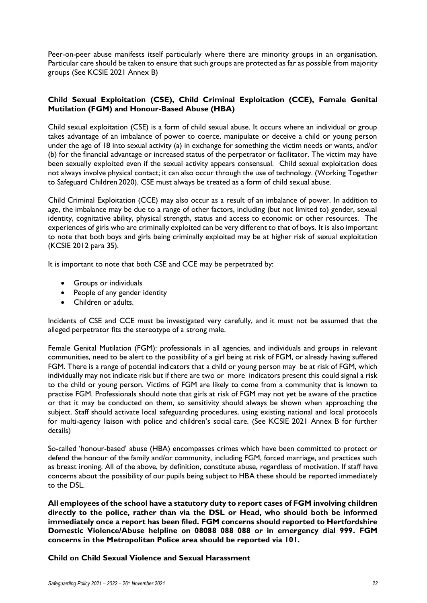Peer-on-peer abuse manifests itself particularly where there are minority groups in an organisation. Particular care should be taken to ensure that such groups are protected as far as possible from majority groups (See KCSIE 2021 Annex B)

# **Child Sexual Exploitation (CSE), Child Criminal Exploitation (CCE), Female Genital Mutilation (FGM) and Honour-Based Abuse (HBA)**

Child sexual exploitation (CSE) is a form of child sexual abuse. It occurs where an individual or group takes advantage of an imbalance of power to coerce, manipulate or deceive a child or young person under the age of 18 into sexual activity (a) in exchange for something the victim needs or wants, and/or (b) for the financial advantage or increased status of the perpetrator or facilitator. The victim may have been sexually exploited even if the sexual activity appears consensual. Child sexual exploitation does not always involve physical contact; it can also occur through the use of technology. (Working Together to Safeguard Children 2020). CSE must always be treated as a form of child sexual abuse.

Child Criminal Exploitation (CCE) may also occur as a result of an imbalance of power. In addition to age, the imbalance may be due to a range of other factors, including (but not limited to) gender, sexual identity, cognitative ability, physical strength, status and access to economic or other resources. The experiences of girls who are criminally exploited can be very different to that of boys. It is also important to note that both boys and girls being criminally exploited may be at higher risk of sexual exploitation (KCSIE 2012 para 35).

It is important to note that both CSE and CCE may be perpetrated by:

- Groups or individuals
- People of any gender identity
- Children or adults.

Incidents of CSE and CCE must be investigated very carefully, and it must not be assumed that the alleged perpetrator fits the stereotype of a strong male.

Female Genital Mutilation (FGM): professionals in all agencies, and individuals and groups in relevant communities, need to be alert to the possibility of a girl being at risk of FGM, or already having suffered FGM. There is a range of potential indicators that a child or young person may be at risk of FGM, which individually may not indicate risk but if there are two or more indicators present this could signal a risk to the child or young person. Victims of FGM are likely to come from a community that is known to practise FGM. Professionals should note that girls at risk of FGM may not yet be aware of the practice or that it may be conducted on them, so sensitivity should always be shown when approaching the subject. Staff should activate local safeguarding procedures, using existing national and local protocols for multi-agency liaison with police and children's social care. (See KCSIE 2021 Annex B for further details)

So-called 'honour-based' abuse (HBA) encompasses crimes which have been committed to protect or defend the honour of the family and/or community, including FGM, forced marriage, and practices such as breast ironing. All of the above, by definition, constitute abuse, regardless of motivation. If staff have concerns about the possibility of our pupils being subject to HBA these should be reported immediately to the DSL.

**All employees of the school have a statutory duty to report cases of FGM involving children directly to the police, rather than via the DSL or Head, who should both be informed immediately once a report has been filed. FGM concerns should reported to Hertfordshire Domestic Violence/Abuse helpline on 08088 088 088 or in emergency dial 999. FGM concerns in the Metropolitan Police area should be reported via 101.**

**Child on Child Sexual Violence and Sexual Harassment**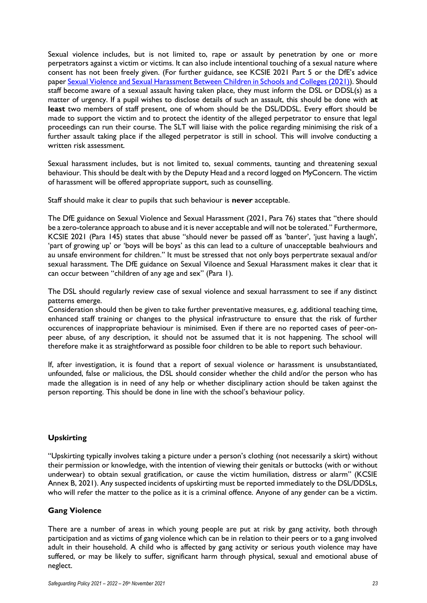Sexual violence includes, but is not limited to, rape or assault by penetration by one or more perpetrators against a victim or victims. It can also include intentional touching of a sexual nature where consent has not been freely given. (For further guidance, see KCSIE 2021 Part 5 or the DfE's advice pape[r Sexual Violence and Sexual Harassment Between Children in Schools and Colleges \(2021\)\)](https://assets.publishing.service.gov.uk/government/uploads/system/uploads/attachment_data/file/719902/Sexual_violence_and_sexual_harassment_between_children_in_schools_and_colleges.pdf). Should staff become aware of a sexual assault having taken place, they must inform the DSL or DDSL(s) as a matter of urgency. If a pupil wishes to disclose details of such an assault, this should be done with **at least** two members of staff present, one of whom should be the DSL/DDSL. Every effort should be made to support the victim and to protect the identity of the alleged perpetrator to ensure that legal proceedings can run their course. The SLT will liaise with the police regarding minimising the risk of a further assault taking place if the alleged perpetrator is still in school. This will involve conducting a written risk assessment.

Sexual harassment includes, but is not limited to, sexual comments, taunting and threatening sexual behaviour. This should be dealt with by the Deputy Head and a record logged on MyConcern. The victim of harassment will be offered appropriate support, such as counselling.

Staff should make it clear to pupils that such behaviour is **never** acceptable.

The DfE guidance on Sexual Violence and Sexual Harassment (2021, Para 76) states that "there should be a zero-tolerance approach to abuse and it is never acceptable and will not be tolerated." Furthermore, KCSIE 2021 (Para 145) states that abuse "should never be passed off as 'banter', 'just having a laugh', 'part of growing up' or 'boys will be boys' as this can lead to a culture of unacceptable beahviours and au unsafe environment for children." It must be stressed that not only boys perpertrate sexaual and/or sexual harassment. The DfE guidance on Sexual Viloence and Sexual Harassment makes it clear that it can occur between "children of any age and sex" (Para 1).

The DSL should regularly review case of sexual violence and sexual harrassment to see if any distinct patterns emerge.

Consideration should then be given to take further preventative measures, e.g. additional teaching time, enhanced staff training or changes to the physical infrastructure to ensure that the risk of further occurences of inappropriate behaviour is minimised. Even if there are no reported cases of peer-onpeer abuse, of any description, it should not be assumed that it is not happening. The school will therefore make it as straightforward as possible foor children to be able to report such behaviour.

If, after investigation, it is found that a report of sexual violence or harassment is unsubstantiated, unfounded, false or malicious, the DSL should consider whether the child and/or the person who has made the allegation is in need of any help or whether disciplinary action should be taken against the person reporting. This should be done in line with the school's behaviour policy.

# **Upskirting**

"Upskirting typically involves taking a picture under a person's clothing (not necessarily a skirt) without their permission or knowledge, with the intention of viewing their genitals or buttocks (with or without underwear) to obtain sexual gratification, or cause the victim humiliation, distress or alarm" (KCSIE Annex B, 2021). Any suspected incidents of upskirting must be reported immediately to the DSL/DDSLs, who will refer the matter to the police as it is a criminal offence. Anyone of any gender can be a victim.

#### **Gang Violence**

There are a number of areas in which young people are put at risk by gang activity, both through participation and as victims of gang violence which can be in relation to their peers or to a gang involved adult in their household. A child who is affected by gang activity or serious youth violence may have suffered, or may be likely to suffer, significant harm through physical, sexual and emotional abuse of neglect.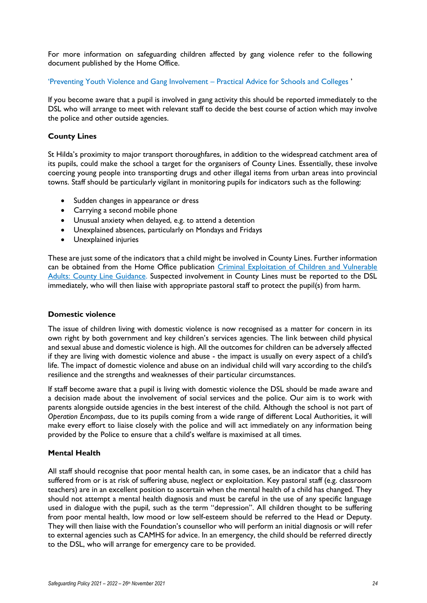For more information on safeguarding children affected by gang violence refer to the following document published by the Home Office.

'[Preventing Youth Violence and Gang Involvement](https://assets.publishing.service.gov.uk/government/uploads/system/uploads/attachment_data/file/418131/Preventing_youth_violence_and_gang_involvement_v3_March2015.pdf) – Practical Advice for Schools and Colleges '

If you become aware that a pupil is involved in gang activity this should be reported immediately to the DSL who will arrange to meet with relevant staff to decide the best course of action which may involve the police and other outside agencies.

# **County Lines**

St Hilda's proximity to major transport thoroughfares, in addition to the widespread catchment area of its pupils, could make the school a target for the organisers of County Lines. Essentially, these involve coercing young people into transporting drugs and other illegal items from urban areas into provincial towns. Staff should be particularly vigilant in monitoring pupils for indicators such as the following:

- Sudden changes in appearance or dress
- Carrying a second mobile phone
- Unusual anxiety when delayed, e.g. to attend a detention
- Unexplained absences, particularly on Mondays and Fridays
- Unexplained injuries

These are just some of the indicators that a child might be involved in County Lines. Further information can be obtained from the Home Office publication [Criminal Exploitation of Children and Vulnerable](https://assets.publishing.service.gov.uk/government/uploads/system/uploads/attachment_data/file/741194/HOCountyLinesGuidanceSept2018.pdf)  [Adults: County Line Guidance.](https://assets.publishing.service.gov.uk/government/uploads/system/uploads/attachment_data/file/741194/HOCountyLinesGuidanceSept2018.pdf) Suspected involvement in County Lines must be reported to the DSL immediately, who will then liaise with appropriate pastoral staff to protect the pupil(s) from harm.

#### **Domestic violence**

The issue of children living with domestic violence is now recognised as a matter for concern in its own right by both government and key children's services agencies. The link between child physical and sexual abuse and domestic violence is high. All the outcomes for children can be adversely affected if they are living with domestic violence and abuse - the impact is usually on every aspect of a child's life. The impact of domestic violence and abuse on an individual child will vary according to the child's resilience and the strengths and weaknesses of their particular circumstances.

If staff become aware that a pupil is living with domestic violence the DSL should be made aware and a decision made about the involvement of social services and the police. Our aim is to work with parents alongside outside agencies in the best interest of the child. Although the school is not part of *Operation Encompass*, due to its pupils coming from a wide range of different Local Authorities, it will make every effort to liaise closely with the police and will act immediately on any information being provided by the Police to ensure that a child's welfare is maximised at all times.

#### **Mental Health**

All staff should recognise that poor mental health can, in some cases, be an indicator that a child has suffered from or is at risk of suffering abuse, neglect or exploitation. Key pastoral staff (e.g. classroom teachers) are in an excellent position to ascertain when the mental health of a child has changed. They should not attempt a mental health diagnosis and must be careful in the use of any specific language used in dialogue with the pupil, such as the term "depression". All children thought to be suffering from poor mental health, low mood or low self-esteem should be referred to the Head or Deputy. They will then liaise with the Foundation's counsellor who will perform an initial diagnosis or will refer to external agencies such as CAMHS for advice. In an emergency, the child should be referred directly to the DSL, who will arrange for emergency care to be provided.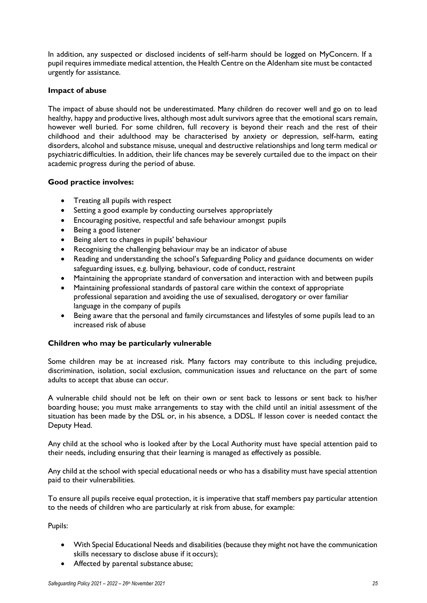In addition, any suspected or disclosed incidents of self-harm should be logged on MyConcern. If a pupil requires immediate medical attention, the Health Centre on the Aldenham site must be contacted urgently for assistance.

#### **Impact of abuse**

The impact of abuse should not be underestimated. Many children do recover well and go on to lead healthy, happy and productive lives, although most adult survivors agree that the emotional scars remain, however well buried. For some children, full recovery is beyond their reach and the rest of their childhood and their adulthood may be characterised by anxiety or depression, self-harm, eating disorders, alcohol and substance misuse, unequal and destructive relationships and long term medical or psychiatricdifficulties. In addition, their life chances may be severely curtailed due to the impact on their academic progress during the period of abuse.

#### **Good practice involves:**

- Treating all pupils with respect
- Setting a good example by conducting ourselves appropriately
- Encouraging positive, respectful and safe behaviour amongst pupils
- Being a good listener
- Being alert to changes in pupils' behaviour
- Recognising the challenging behaviour may be an indicator of abuse
- Reading and understanding the school's Safeguarding Policy and guidance documents on wider safeguarding issues, e.g. bullying, behaviour, code of conduct, restraint
- Maintaining the appropriate standard of conversation and interaction with and between pupils
- Maintaining professional standards of pastoral care within the context of appropriate professional separation and avoiding the use of sexualised, derogatory or over familiar language in the company of pupils
- Being aware that the personal and family circumstances and lifestyles of some pupils lead to an increased risk of abuse

# **Children who may be particularly vulnerable**

Some children may be at increased risk. Many factors may contribute to this including prejudice, discrimination, isolation, social exclusion, communication issues and reluctance on the part of some adults to accept that abuse can occur.

A vulnerable child should not be left on their own or sent back to lessons or sent back to his/her boarding house; you must make arrangements to stay with the child until an initial assessment of the situation has been made by the DSL or, in his absence, a DDSL. If lesson cover is needed contact the Deputy Head.

Any child at the school who is looked after by the Local Authority must have special attention paid to their needs, including ensuring that their learning is managed as effectively as possible.

Any child at the school with special educational needs or who has a disability must have special attention paid to their vulnerabilities.

To ensure all pupils receive equal protection, it is imperative that staff members pay particular attention to the needs of children who are particularly at risk from abuse, for example:

Pupils:

- With Special Educational Needs and disabilities (because they might not have the communication skills necessary to disclose abuse if it occurs);
- Affected by parental substance abuse;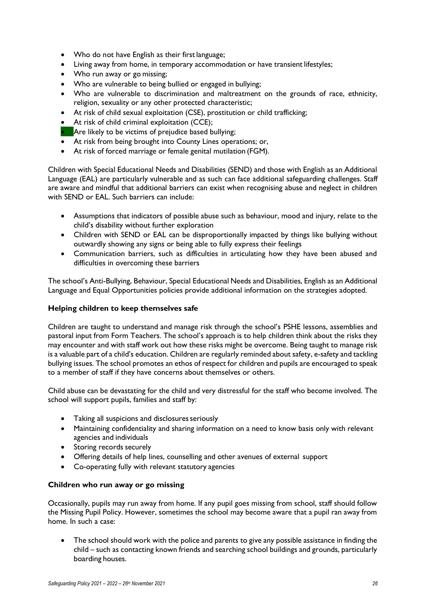- Who do not have English as their first language;
- Living away from home, in temporary accommodation or have transient lifestyles;
- Who run away or go missing;
- Who are vulnerable to being bullied or engaged in bullying;
- Who are vulnerable to discrimination and maltreatment on the grounds of race, ethnicity, religion, sexuality or any other protected characteristic;
- At risk of child sexual exploitation (CSE), prostitution or child trafficking;
- At risk of child criminal exploitation (CCE);
- Are likely to be victims of prejudice based bullying;
- At risk from being brought into County Lines operations; or,
- At risk of forced marriage or female genital mutilation (FGM).

Children with Special Educational Needs and Disabilities (SEND) and those with English as an Additional Language (EAL) are particularly vulnerable and as such can face additional safeguarding challenges. Staff are aware and mindful that additional barriers can exist when recognising abuse and neglect in children with SEND or EAL. Such barriers can include:

- Assumptions that indicators of possible abuse such as behaviour, mood and injury, relate to the child's disability without further exploration
- Children with SEND or EAL can be disproportionally impacted by things like bullying without outwardly showing any signs or being able to fully express their feelings
- Communication barriers, such as difficulties in articulating how they have been abused and difficulties in overcoming these barriers

The school's Anti-Bullying, Behaviour, Special Educational Needs and Disabilities, English as an Additional Language and Equal Opportunities policies provide additional information on the strategies adopted.

#### **Helping children to keep themselves safe**

Children are taught to understand and manage risk through the school's PSHE lessons, assemblies and pastoral input from Form Teachers. The school's approach is to help children think about the risks they may encounter and with staff work out how these risks might be overcome. Being taught to manage risk is a valuable part of a child's education. Children are regularly reminded about safety, e-safety and tackling bullying issues. The school promotes an ethos of respect for children and pupils are encouraged to speak to a member of staff if they have concerns about themselves or others.

Child abuse can be devastating for the child and very distressful for the staff who become involved. The school will support pupils, families and staff by:

- Taking all suspicions and disclosures seriously
- Maintaining confidentiality and sharing information on a need to know basis only with relevant agencies and individuals
- Storing records securely
- Offering details of help lines, counselling and other avenues of external support
- Co-operating fully with relevant statutory agencies

#### **Children who run away or go missing**

Occasionally, pupils may run away from home. If any pupil goes missing from school, staff should follow the Missing Pupil Policy. However, sometimes the school may become aware that a pupil ran away from home. In such a case:

The school should work with the police and parents to give any possible assistance in finding the child – such as contacting known friends and searching school buildings and grounds, particularly boarding houses.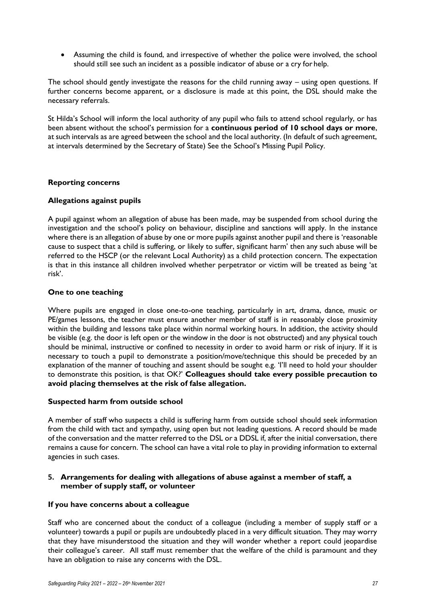• Assuming the child is found, and irrespective of whether the police were involved, the school should still see such an incident as a possible indicator of abuse or a cry for help.

The school should gently investigate the reasons for the child running away – using open questions. If further concerns become apparent, or a disclosure is made at this point, the DSL should make the necessary referrals.

St Hilda's School will inform the local authority of any pupil who fails to attend school regularly, or has been absent without the school's permission for a **continuous period of 10 school days or more**, at such intervals as are agreed between the school and the local authority. (In default of such agreement, at intervals determined by the Secretary of State) See the School's Missing Pupil Policy.

#### **Reporting concerns**

#### **Allegations against pupils**

A pupil against whom an allegation of abuse has been made, may be suspended from school during the investigation and the school's policy on behaviour, discipline and sanctions will apply. In the instance where there is an allegation of abuse by one or more pupils against another pupil and there is 'reasonable cause to suspect that a child is suffering, or likely to suffer, significant harm' then any such abuse will be referred to the HSCP (or the relevant Local Authority) as a child protection concern. The expectation is that in this instance all children involved whether perpetrator or victim will be treated as being 'at risk'.

#### **One to one teaching**

Where pupils are engaged in close one-to-one teaching, particularly in art, drama, dance, music or PE/games lessons, the teacher must ensure another member of staff is in reasonably close proximity within the building and lessons take place within normal working hours. In addition, the activity should be visible (e.g. the door is left open or the window in the door is not obstructed) and any physical touch should be minimal, instructive or confined to necessity in order to avoid harm or risk of injury. If it is necessary to touch a pupil to demonstrate a position/move/technique this should be preceded by an explanation of the manner of touching and assent should be sought e.g. 'I'll need to hold your shoulder to demonstrate this position, is that OK?' **Colleagues should take every possible precaution to avoid placing themselves at the risk of false allegation.**

#### **Suspected harm from outside school**

A member of staff who suspects a child is suffering harm from outside school should seek information from the child with tact and sympathy, using open but not leading questions. A record should be made of the conversation and the matter referred to the DSL or a DDSL if, after the initial conversation, there remains a cause for concern. The school can have a vital role to play in providing information to external agencies in such cases.

# **5. Arrangements for dealing with allegations of abuse against a member of staff, a member of supply staff, or volunteer**

#### **If you have concerns about a colleague**

Staff who are concerned about the conduct of a colleague (including a member of supply staff or a volunteer) towards a pupil or pupils are undoubtedly placed in a very difficult situation. They may worry that they have misunderstood the situation and they will wonder whether a report could jeopardise their colleague's career. All staff must remember that the welfare of the child is paramount and they have an obligation to raise any concerns with the DSL.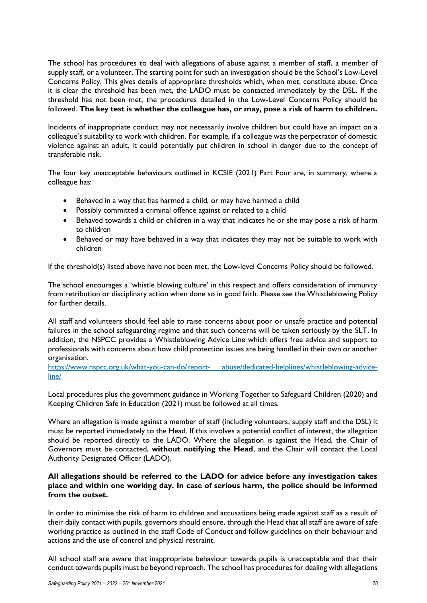The school has procedures to deal with allegations of abuse against a member of staff, a member of supply staff, or a volunteer. The starting point for such an investigation should be the School's Low-Level Concerns Policy. This gives details of appropriate thresholds which, when met, constitute abuse. Once it is clear the threshold has been met, the LADO must be contacted immediately by the DSL. If the threshold has not been met, the procedures detailed in the Low-Level Concerns Policy should be followed. **The key test is whether the colleague has, or may, pose a risk of harm to children.**

Incidents of inappropriate conduct may not necessarily involve children but could have an impact on a colleague's suitability to work with children. For example, if a colleague was the perpetrator of domestic violence against an adult, it could potentially put children in school in danger due to the concept of transferable risk.

The four key unacceptable behaviours outlined in KCSIE (2021) Part Four are, in summary, where a colleague has:

- Behaved in a way that has harmed a child, or may have harmed a child
- Possibly committed a criminal offence against or related to a child
- Behaved towards a child or children in a way that indicates he or she may pose a risk of harm to children
- Behaved or may have behaved in a way that indicates they may not be suitable to work with children

If the threshold(s) listed above have not been met, the Low-level Concerns Policy should be followed.

The school encourages a 'whistle blowing culture' in this respect and offers consideration of immunity from retribution or disciplinary action when done so in good faith. Please see the Whistleblowing Policy for further details.

All staff and volunteers should feel able to raise concerns about poor or unsafe practice and potential failures in the school safeguarding regime and that such concerns will be taken seriously by the SLT. In addition, the NSPCC provides a Whistleblowing Advice Line which offers free advice and support to professionals with concerns about how child protection issues are being handled in their own or another organisation.

[https://www.nspcc.org.uk/what-you-can-do/report-](https://www.nspcc.org.uk/what-you-can-do/report-abuse/dedicated-helplines/whistleblowing-advice-line/) [abuse/dedicated-helplines/whistleblowing-advice](https://www.nspcc.org.uk/what-you-can-do/report-abuse/dedicated-helplines/whistleblowing-advice-line/)[line/](https://www.nspcc.org.uk/what-you-can-do/report-abuse/dedicated-helplines/whistleblowing-advice-line/)

Local procedures plus the government guidance in Working Together to Safeguard Children (2020) and Keeping Children Safe in Education (2021) must be followed at all times.

Where an allegation is made against a member of staff (including volunteers, supply staff and the DSL) it must be reported immediately to the Head. If this involves a potential conflict of interest, the allegation should be reported directly to the LADO. Where the allegation is against the Head, the Chair of Governors must be contacted, **without notifying the Head**, and the Chair will contact the Local Authority Designated Officer (LADO).

#### **All allegations should be referred to the LADO for advice before any investigation takes place and within one working day. In case of serious harm, the police should be informed from the outset.**

In order to minimise the risk of harm to children and accusations being made against staff as a result of their daily contact with pupils, governors should ensure, through the Head that all staff are aware of safe working practice as outlined in the staff Code of Conduct and follow guidelines on their behaviour and actions and the use of control and physical restraint.

All school staff are aware that inappropriate behaviour towards pupils is unacceptable and that their conduct towards pupils must be beyond reproach. The school has procedures for dealing with allegations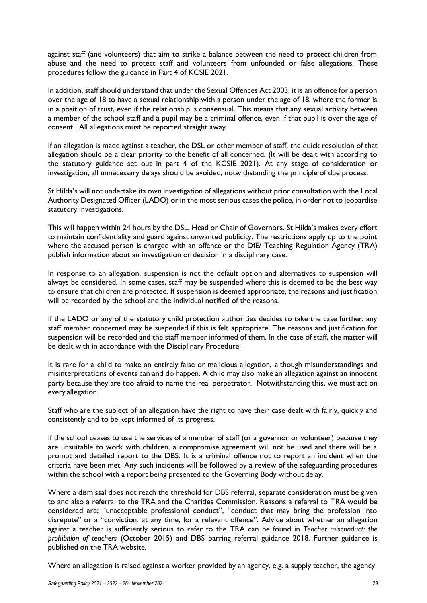against staff (and volunteers) that aim to strike a balance between the need to protect children from abuse and the need to protect staff and volunteers from unfounded or false allegations. These procedures follow the guidance in Part 4 of KCSIE 2021.

In addition, staff should understand that under the Sexual Offences Act 2003, it is an offence for a person over the age of 18 to have a sexual relationship with a person under the age of 18, where the former is in a position of trust, even if the relationship is consensual. This means that any sexual activity between a member of the school staff and a pupil may be a criminal offence, even if that pupil is over the age of consent. All allegations must be reported straight away.

If an allegation is made against a teacher, the DSL or other member of staff, the quick resolution of that allegation should be a clear priority to the benefit of all concerned. (It will be dealt with according to the statutory guidance set out in part 4 of the KCSIE 2021). At any stage of consideration or investigation, all unnecessary delays should be avoided, notwithstanding the principle of due process.

St Hilda's will not undertake its own investigation of allegations without prior consultation with the Local Authority Designated Officer (LADO) or in the most serious cases the police, in order not to jeopardise statutory investigations.

This will happen within 24 hours by the DSL, Head or Chair of Governors. St Hilda's makes every effort to maintain confidentiality and guard against unwanted publicity. The restrictions apply up to the point where the accused person is charged with an offence or the DfE/ Teaching Regulation Agency (TRA) publish information about an investigation or decision in a disciplinary case.

In response to an allegation, suspension is not the default option and alternatives to suspension will always be considered. In some cases, staff may be suspended where this is deemed to be the best way to ensure that children are protected. If suspension is deemed appropriate, the reasons and justification will be recorded by the school and the individual notified of the reasons.

If the LADO or any of the statutory child protection authorities decides to take the case further, any staff member concerned may be suspended if this is felt appropriate. The reasons and justification for suspension will be recorded and the staff member informed of them. In the case of staff, the matter will be dealt with in accordance with the Disciplinary Procedure.

It is rare for a child to make an entirely false or malicious allegation, although misunderstandings and misinterpretations of events can and do happen. A child may also make an allegation against an innocent party because they are too afraid to name the real perpetrator. Notwithstanding this, we must act on every allegation.

Staff who are the subject of an allegation have the right to have their case dealt with fairly, quickly and consistently and to be kept informed of its progress.

If the school ceases to use the services of a member of staff (or a governor or volunteer) because they are unsuitable to work with children, a compromise agreement will not be used and there will be a prompt and detailed report to the DBS. It is a criminal offence not to report an incident when the criteria have been met. Any such incidents will be followed by a review of the safeguarding procedures within the school with a report being presented to the Governing Body without delay.

Where a dismissal does not reach the threshold for DBS referral, separate consideration must be given to and also a referral to the TRA and the Charities Commission. Reasons a referral to TRA would be considered are; "unacceptable professional conduct", "conduct that may bring the profession into disrepute" or a "conviction, at any time, for a relevant offence". Advice about whether an allegation against a teacher is sufficiently serious to refer to the TRA can be found in *Teacher misconduct: the prohibition of teachers* (October 2015) and DBS barring referral guidance 2018*.* Further guidance is published on the TRA website.

Where an allegation is raised against a worker provided by an agency, e.g. a supply teacher, the agency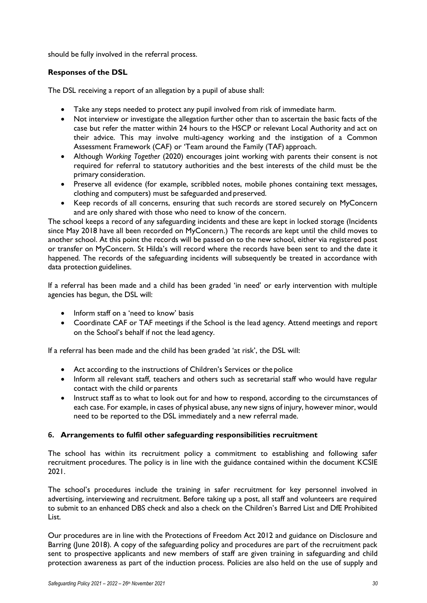should be fully involved in the referral process.

# **Responses of the DSL**

The DSL receiving a report of an allegation by a pupil of abuse shall:

- Take any steps needed to protect any pupil involved from risk of immediate harm.
- Not interview or investigate the allegation further other than to ascertain the basic facts of the case but refer the matter within 24 hours to the HSCP or relevant Local Authority and act on their advice. This may involve multi-agency working and the instigation of a Common Assessment Framework (CAF) or 'Team around the Family (TAF) approach.
- Although *Working Together* (2020) encourages joint working with parents their consent is not required for referral to statutory authorities and the best interests of the child must be the primary consideration.
- Preserve all evidence (for example, scribbled notes, mobile phones containing text messages, clothing and computers) must be safeguarded and preserved.
- Keep records of all concerns, ensuring that such records are stored securely on MyConcern and are only shared with those who need to know of the concern.

The school keeps a record of any safeguarding incidents and these are kept in locked storage (Incidents since May 2018 have all been recorded on MyConcern.) The records are kept until the child moves to another school. At this point the records will be passed on to the new school, either via registered post or transfer on MyConcern. St Hilda's will record where the records have been sent to and the date it happened. The records of the safeguarding incidents will subsequently be treated in accordance with data protection guidelines.

If a referral has been made and a child has been graded 'in need' or early intervention with multiple agencies has begun, the DSL will:

- Inform staff on a 'need to know' basis
- Coordinate CAF or TAF meetings if the School is the lead agency. Attend meetings and report on the School's behalf if not the lead agency.

If a referral has been made and the child has been graded 'at risk', the DSL will:

- Act according to the instructions of Children's Services or the police
- Inform all relevant staff, teachers and others such as secretarial staff who would have regular contact with the child orparents
- Instruct staff as to what to look out for and how to respond, according to the circumstances of each case. For example, in cases of physical abuse, any new signs of injury, however minor, would need to be reported to the DSL immediately and a new referral made.

# **6. Arrangements to fulfil other safeguarding responsibilities recruitment**

The school has within its recruitment policy a commitment to establishing and following safer recruitment procedures. The policy is in line with the guidance contained within the document KCSIE 2021.

The school's procedures include the training in safer recruitment for key personnel involved in advertising, interviewing and recruitment. Before taking up a post, all staff and volunteers are required to submit to an enhanced DBS check and also a check on the Children's Barred List and DfE Prohibited List.

Our procedures are in line with the Protections of Freedom Act 2012 and guidance on Disclosure and Barring (June 2018). A copy of the safeguarding policy and procedures are part of the recruitment pack sent to prospective applicants and new members of staff are given training in safeguarding and child protection awareness as part of the induction process. Policies are also held on the use of supply and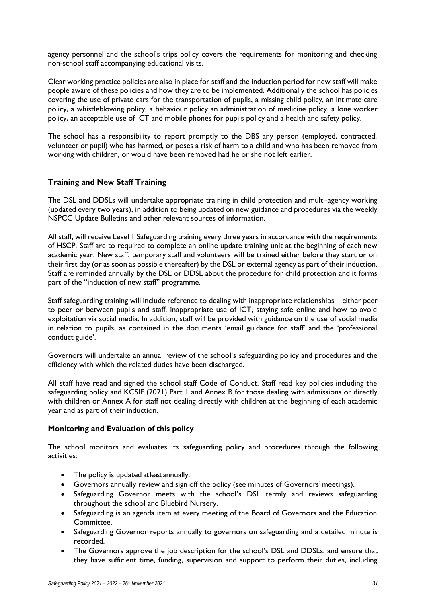agency personnel and the school's trips policy covers the requirements for monitoring and checking non-school staff accompanying educational visits.

Clear working practice policies are also in place for staff and the induction period for new staff will make people aware of these policies and how they are to be implemented. Additionally the school has policies covering the use of private cars for the transportation of pupils, a missing child policy, an intimate care policy, a whistleblowing policy, a behaviour policy an administration of medicine policy, a lone worker policy, an acceptable use of ICT and mobile phones for pupils policy and a health and safety policy.

The school has a responsibility to report promptly to the DBS any person (employed, contracted, volunteer or pupil) who has harmed, or poses a risk of harm to a child and who has been removed from working with children, or would have been removed had he or she not left earlier.

#### **Training and New Staff Training**

The DSL and DDSLs will undertake appropriate training in child protection and multi-agency working (updated every two years), in addition to being updated on new guidance and procedures via the weekly NSPCC Update Bulletins and other relevant sources of information.

All staff, will receive Level 1 Safeguarding training every three years in accordance with the requirements of HSCP. Staff are to required to complete an online update training unit at the beginning of each new academic year. New staff, temporary staff and volunteers will be trained either before they start or on their first day (or as soon as possible thereafter) by the DSL or external agency as part of their induction. Staff are reminded annually by the DSL or DDSL about the procedure for child protection and it forms part of the "induction of new staff" programme.

Staff safeguarding training will include reference to dealing with inappropriate relationships – either peer to peer or between pupils and staff, inappropriate use of ICT, staying safe online and how to avoid exploitation via social media. In addition, staff will be provided with guidance on the use of social media in relation to pupils, as contained in the documents 'email guidance for staff' and the 'professional conduct guide'.

Governors will undertake an annual review of the school's safeguarding policy and procedures and the efficiency with which the related duties have been discharged.

All staff have read and signed the school staff Code of Conduct. Staff read key policies including the safeguarding policy and KCSIE (2021) Part 1 and Annex B for those dealing with admissions or directly with children or Annex A for staff not dealing directly with children at the beginning of each academic year and as part of their induction.

#### **Monitoring and Evaluation of this policy**

The school monitors and evaluates its safeguarding policy and procedures through the following activities:

- The policy is updated at least annually.
- Governors annually review and sign off the policy (see minutes of Governors' meetings).
- Safeguarding Governor meets with the school's DSL termly and reviews safeguarding throughout the school and Bluebird Nursery.
- Safeguarding is an agenda item at every meeting of the Board of Governors and the Education Committee.
- Safeguarding Governor reports annually to governors on safeguarding and a detailed minute is recorded.
- The Governors approve the job description for the school's DSL and DDSLs, and ensure that they have sufficient time, funding, supervision and support to perform their duties, including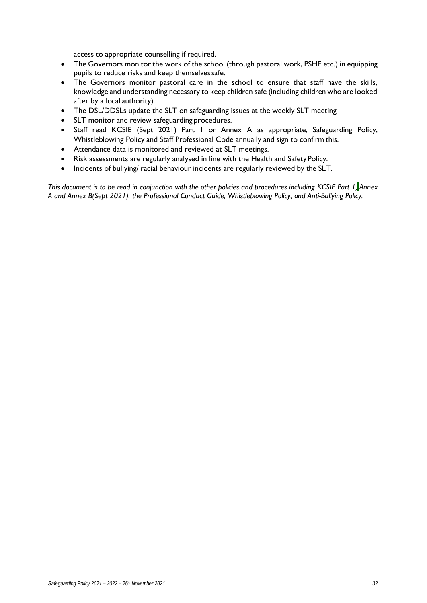access to appropriate counselling if required.

- The Governors monitor the work of the school (through pastoral work, PSHE etc.) in equipping pupils to reduce risks and keep themselves safe.
- The Governors monitor pastoral care in the school to ensure that staff have the skills, knowledge and understanding necessary to keep children safe (including children who are looked after by a local authority).
- The DSL/DDSLs update the SLT on safeguarding issues at the weekly SLT meeting
- SLT monitor and review safeguarding procedures.
- Staff read KCSIE (Sept 2021) Part 1 or Annex A as appropriate, Safeguarding Policy, Whistleblowing Policy and Staff Professional Code annually and sign to confirm this.
- Attendance data is monitored and reviewed at SLT meetings.
- Risk assessments are regularly analysed in line with the Health and Safety Policy.
- Incidents of bullying/ racial behaviour incidents are regularly reviewed by the SLT.

*This document is to be read in conjunction with the other policies and procedures including KCSIE Part 1, Annex A and Annex B(Sept 2021), the Professional Conduct Guide, Whistleblowing Policy, and Anti-Bullying Policy.*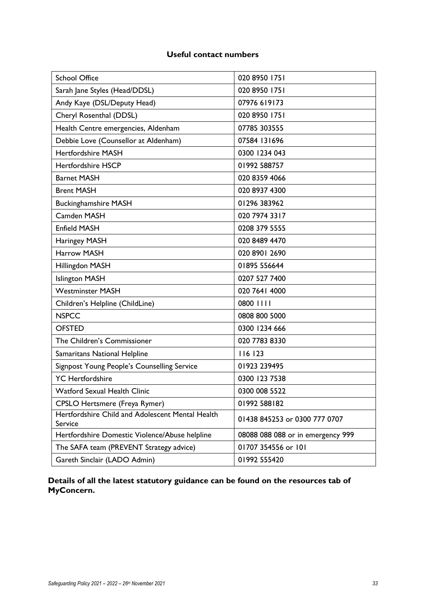# **Useful contact numbers**

| <b>School Office</b>                                        | 020 8950 1751                     |
|-------------------------------------------------------------|-----------------------------------|
| Sarah Jane Styles (Head/DDSL)                               | 020 8950 1751                     |
| Andy Kaye (DSL/Deputy Head)                                 | 07976 619173                      |
| Cheryl Rosenthal (DDSL)                                     | 020 8950 1751                     |
| Health Centre emergencies, Aldenham                         | 07785 303555                      |
| Debbie Love (Counsellor at Aldenham)                        | 07584 131696                      |
| <b>Hertfordshire MASH</b>                                   | 0300 1234 043                     |
| <b>Hertfordshire HSCP</b>                                   | 01992 588757                      |
| <b>Barnet MASH</b>                                          | 020 8359 4066                     |
| <b>Brent MASH</b>                                           | 020 8937 4300                     |
| <b>Buckinghamshire MASH</b>                                 | 01296 383962                      |
| Camden MASH                                                 | 020 7974 3317                     |
| <b>Enfield MASH</b>                                         | 0208 379 5555                     |
| Haringey MASH                                               | 020 8489 4470                     |
| Harrow MASH                                                 | 020 8901 2690                     |
| Hillingdon MASH                                             | 01895 556644                      |
| <b>Islington MASH</b>                                       | 0207 527 7400                     |
| <b>Westminster MASH</b>                                     | 020 7641 4000                     |
| Children's Helpline (ChildLine)                             | 0800 1111                         |
| <b>NSPCC</b>                                                | 0808 800 5000                     |
| <b>OFSTED</b>                                               | 0300 1234 666                     |
| The Children's Commissioner                                 | 020 7783 8330                     |
| Samaritans National Helpline                                | 116 123                           |
| Signpost Young People's Counselling Service                 | 01923 239495                      |
| <b>YC</b> Hertfordshire                                     | 0300 123 7538                     |
| Watford Sexual Health Clinic                                | 0300 008 5522                     |
| <b>CPSLO Hertsmere (Freya Rymer)</b>                        | 01992 588182                      |
| Hertfordshire Child and Adolescent Mental Health<br>Service | 01438 845253 or 0300 777 0707     |
| Hertfordshire Domestic Violence/Abuse helpline              | 08088 088 088 or in emergency 999 |
| The SAFA team (PREVENT Strategy advice)                     | 01707 354556 or 101               |
| Gareth Sinclair (LADO Admin)                                | 01992 555420                      |

**Details of all the latest statutory guidance can be found on the resources tab of MyConcern.**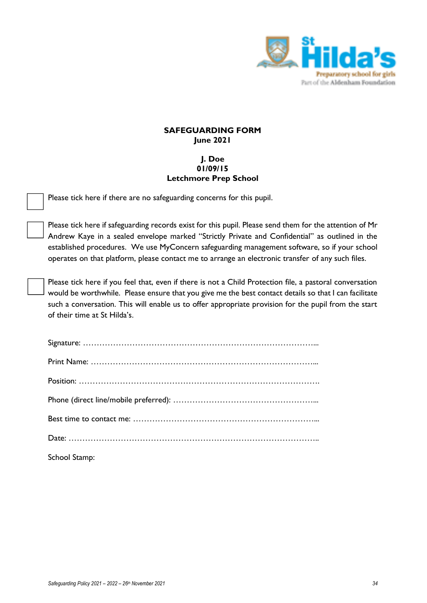

# **SAFEGUARDING FORM June 2021**

# **J. Doe 01/09/15 Letchmore Prep School**

Please tick here if there are no safeguarding concerns for this pupil.

Please tick here if safeguarding records exist for this pupil. Please send them for the attention of Mr Andrew Kaye in a sealed envelope marked "Strictly Private and Confidential" as outlined in the established procedures. We use MyConcern safeguarding management software, so if your school operates on that platform, please contact me to arrange an electronic transfer of any such files.

Please tick here if you feel that, even if there is not a Child Protection file, a pastoral conversation would be worthwhile. Please ensure that you give me the best contact details so that I can facilitate such a conversation. This will enable us to offer appropriate provision for the pupil from the start of their time at St Hilda's.

| School Stamp: |
|---------------|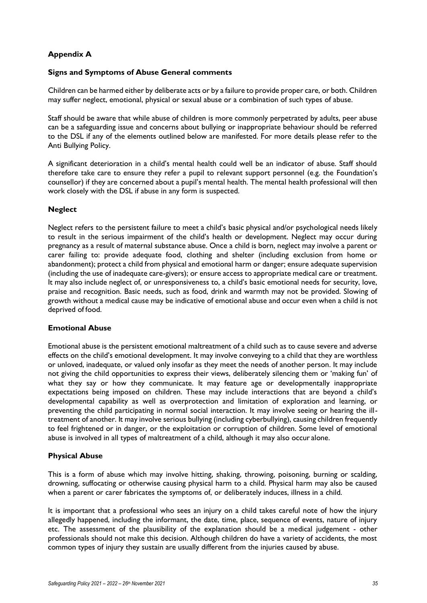# **Appendix A**

#### **Signs and Symptoms of Abuse General comments**

Children can be harmed either by deliberate acts or by a failure to provide proper care, or both. Children may suffer neglect, emotional, physical or sexual abuse or a combination of such types of abuse.

Staff should be aware that while abuse of children is more commonly perpetrated by adults, peer abuse can be a safeguarding issue and concerns about bullying or inappropriate behaviour should be referred to the DSL if any of the elements outlined below are manifested. For more details please refer to the Anti Bullying Policy.

A significant deterioration in a child's mental health could well be an indicator of abuse. Staff should therefore take care to ensure they refer a pupil to relevant support personnel (e.g. the Foundation's counsellor) if they are concerned about a pupil's mental health. The mental health professional will then work closely with the DSL if abuse in any form is suspected.

#### **Neglect**

Neglect refers to the persistent failure to meet a child's basic physical and/or psychological needs likely to result in the serious impairment of the child's health or development. Neglect may occur during pregnancy as a result of maternal substance abuse. Once a child is born, neglect may involve a parent or carer failing to: provide adequate food, clothing and shelter (including exclusion from home or abandonment); protect a child from physical and emotional harm or danger; ensure adequate supervision (including the use of inadequate care-givers); or ensure access to appropriate medical care or treatment. It may also include neglect of, or unresponsiveness to, a child's basic emotional needs for security, love, praise and recognition. Basic needs, such as food, drink and warmth may not be provided. Slowing of growth without a medical cause may be indicative of emotional abuse and occur even when a child is not deprived of food.

#### **Emotional Abuse**

Emotional abuse is the persistent emotional maltreatment of a child such as to cause severe and adverse effects on the child's emotional development. It may involve conveying to a child that they are worthless or unloved, inadequate, or valued only insofar as they meet the needs of another person. It may include not giving the child opportunities to express their views, deliberately silencing them or 'making fun' of what they say or how they communicate. It may feature age or developmentally inappropriate expectations being imposed on children. These may include interactions that are beyond a child's developmental capability as well as overprotection and limitation of exploration and learning, or preventing the child participating in normal social interaction. It may involve seeing or hearing the illtreatment of another. It may involve serious bullying (including cyberbullying), causing children frequently to feel frightened or in danger, or the exploitation or corruption of children. Some level of emotional abuse is involved in all types of maltreatment of a child, although it may also occur alone.

#### **Physical Abuse**

This is a form of abuse which may involve hitting, shaking, throwing, poisoning, burning or scalding, drowning, suffocating or otherwise causing physical harm to a child. Physical harm may also be caused when a parent or carer fabricates the symptoms of, or deliberately induces, illness in a child.

It is important that a professional who sees an injury on a child takes careful note of how the injury allegedly happened, including the informant, the date, time, place, sequence of events, nature of injury etc. The assessment of the plausibility of the explanation should be a medical judgement - other professionals should not make this decision. Although children do have a variety of accidents, the most common types of injury they sustain are usually different from the injuries caused by abuse.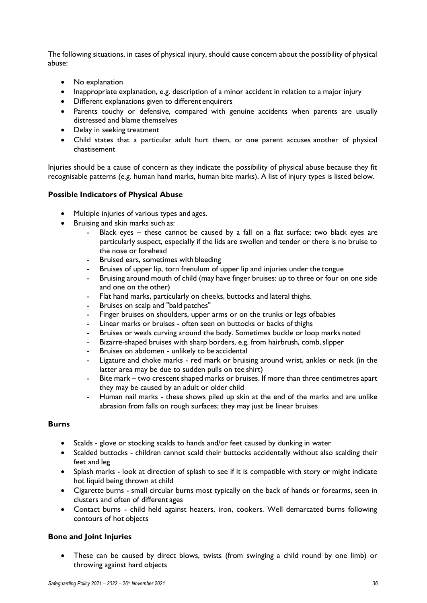The following situations, in cases of physical injury, should cause concern about the possibility of physical abuse:

- No explanation
- Inappropriate explanation, e.g. description of a minor accident in relation to a major injury
- Different explanations given to different enquirers
- Parents touchy or defensive, compared with genuine accidents when parents are usually distressed and blame themselves
- Delay in seeking treatment
- Child states that a particular adult hurt them, or one parent accuses another of physical chastisement

Injuries should be a cause of concern as they indicate the possibility of physical abuse because they fit recognisable patterns (e.g. human hand marks, human bite marks). A list of injury types is listed below.

#### **Possible Indicators of Physical Abuse**

- Multiple injuries of various types and ages.
- Bruising and skin marks such as:
	- Black eyes  $-$  these cannot be caused by a fall on a flat surface; two black eyes are particularly suspect, especially if the lids are swollen and tender or there is no bruise to the nose or forehead
	- Bruised ears, sometimes with bleeding
	- Bruises of upper lip, torn frenulum of upper lip and injuries under the tongue
	- Bruising around mouth of child (may have finger bruises: up to three or four on one side and one on the other)
	- Flat hand marks, particularly on cheeks, buttocks and lateral thighs.
	- Bruises on scalp and "bald patches"
	- Finger bruises on shoulders, upper arms or on the trunks or legs ofbabies
	- Linear marks or bruises often seen on buttocks or backs of thighs
	- Bruises or weals curving around the body. Sometimes buckle or loop marks noted
	- Bizarre-shaped bruises with sharp borders, e.g. from hairbrush, comb, slipper
	- Bruises on abdomen unlikely to be accidental
	- Ligature and choke marks red mark or bruising around wrist, ankles or neck (in the latter area may be due to sudden pulls on tee shirt)
	- Bite mark two crescent shaped marks or bruises. If more than three centimetres apart they may be caused by an adult or older child
	- Human nail marks these shows piled up skin at the end of the marks and are unlike abrasion from falls on rough surfaces; they may just be linear bruises

#### **Burns**

- Scalds glove or stocking scalds to hands and/or feet caused by dunking in water
- Scalded buttocks children cannot scald their buttocks accidentally without also scalding their feet and leg
- Splash marks look at direction of splash to see if it is compatible with story or might indicate hot liquid being thrown at child
- Cigarette burns small circular burns most typically on the back of hands or forearms, seen in clusters and often of different ages
- Contact burns child held against heaters, iron, cookers. Well demarcated burns following contours of hot objects

# **Bone and Joint Injuries**

• These can be caused by direct blows, twists (from swinging a child round by one limb) or throwing against hard objects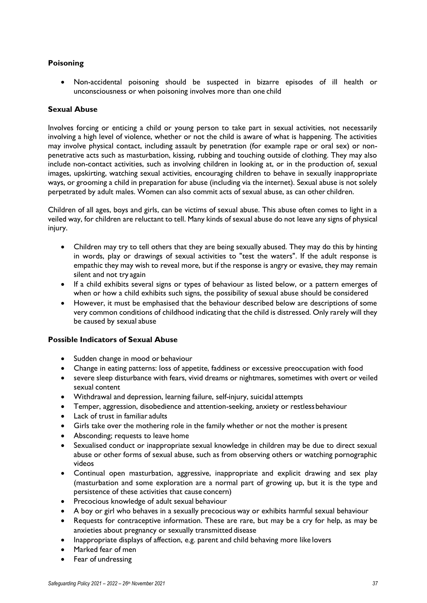# **Poisoning**

• Non-accidental poisoning should be suspected in bizarre episodes of ill health or unconsciousness or when poisoning involves more than one child

#### **Sexual Abuse**

Involves forcing or enticing a child or young person to take part in sexual activities, not necessarily involving a high level of violence, whether or not the child is aware of what is happening. The activities may involve physical contact, including assault by penetration (for example rape or oral sex) or nonpenetrative acts such as masturbation, kissing, rubbing and touching outside of clothing. They may also include non-contact activities, such as involving children in looking at, or in the production of, sexual images, upskirting, watching sexual activities, encouraging children to behave in sexually inappropriate ways, or grooming a child in preparation for abuse (including via the internet). Sexual abuse is not solely perpetrated by adult males. Women can also commit acts of sexual abuse, as can other children.

Children of all ages, boys and girls, can be victims of sexual abuse. This abuse often comes to light in a veiled way, for children are reluctant to tell. Many kinds of sexual abuse do not leave any signs of physical injury.

- Children may try to tell others that they are being sexually abused. They may do this by hinting in words, play or drawings of sexual activities to "test the waters". If the adult response is empathic they may wish to reveal more, but if the response is angry or evasive, they may remain silent and not try again
- If a child exhibits several signs or types of behaviour as listed below, or a pattern emerges of when or how a child exhibits such signs, the possibility of sexual abuse should be considered
- However, it must be emphasised that the behaviour described below are descriptions of some very common conditions of childhood indicating that the child is distressed. Only rarely will they be caused by sexual abuse

#### **Possible Indicators of Sexual Abuse**

- Sudden change in mood or behaviour
- Change in eating patterns: loss of appetite, faddiness or excessive preoccupation with food
- severe sleep disturbance with fears, vivid dreams or nightmares, sometimes with overt or veiled sexual content
- Withdrawal and depression, learning failure, self-injury, suicidal attempts
- Temper, aggression, disobedience and attention-seeking, anxiety or restlessbehaviour
- Lack of trust in familiar adults
- Girls take over the mothering role in the family whether or not the mother is present
- Absconding; requests to leave home
- Sexualised conduct or inappropriate sexual knowledge in children may be due to direct sexual abuse or other forms of sexual abuse, such as from observing others or watching pornographic videos
- Continual open masturbation, aggressive, inappropriate and explicit drawing and sex play (masturbation and some exploration are a normal part of growing up, but it is the type and persistence of these activities that cause concern)
- Precocious knowledge of adult sexual behaviour
- A boy or girl who behaves in a sexually precocious way or exhibits harmful sexual behaviour
- Requests for contraceptive information. These are rare, but may be a cry for help, as may be anxieties about pregnancy or sexually transmitted disease
- Inappropriate displays of affection, e.g. parent and child behaving more like lovers
- Marked fear of men
- Fear of undressing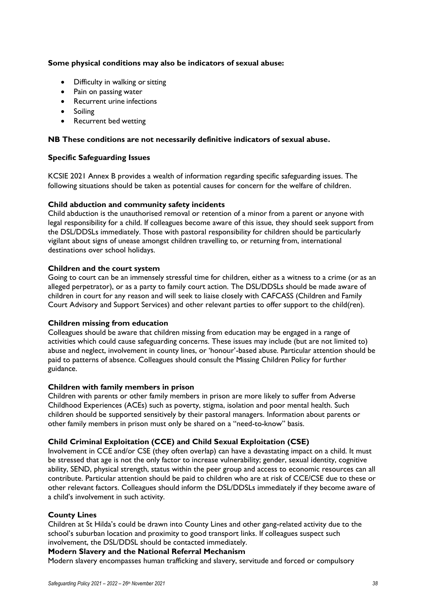#### **Some physical conditions may also be indicators of sexual abuse:**

- Difficulty in walking or sitting
- Pain on passing water
- Recurrent urine infections
- Soiling
- Recurrent bed wetting

#### **NB These conditions are not necessarily definitive indicators of sexual abuse.**

#### **Specific Safeguarding Issues**

KCSIE 2021 Annex B provides a wealth of information regarding specific safeguarding issues. The following situations should be taken as potential causes for concern for the welfare of children.

#### **Child abduction and community safety incidents**

Child abduction is the unauthorised removal or retention of a minor from a parent or anyone with legal responsibility for a child. If colleagues become aware of this issue, they should seek support from the DSL/DDSLs immediately. Those with pastoral responsibility for children should be particularly vigilant about signs of unease amongst children travelling to, or returning from, international destinations over school holidays.

#### **Children and the court system**

Going to court can be an immensely stressful time for children, either as a witness to a crime (or as an alleged perpetrator), or as a party to family court action. The DSL/DDSLs should be made aware of children in court for any reason and will seek to liaise closely with CAFCASS (Children and Family Court Advisory and Support Services) and other relevant parties to offer support to the child(ren).

#### **Children missing from education**

Colleagues should be aware that children missing from education may be engaged in a range of activities which could cause safeguarding concerns. These issues may include (but are not limited to) abuse and neglect, involvement in county lines, or 'honour'-based abuse. Particular attention should be paid to patterns of absence. Colleagues should consult the Missing Children Policy for further guidance.

#### **Children with family members in prison**

Children with parents or other family members in prison are more likely to suffer from Adverse Childhood Experiences (ACEs) such as poverty, stigma, isolation and poor mental health. Such children should be supported sensitively by their pastoral managers. Information about parents or other family members in prison must only be shared on a "need-to-know" basis.

# **Child Criminal Exploitation (CCE) and Child Sexual Exploitation (CSE)**

Involvement in CCE and/or CSE (they often overlap) can have a devastating impact on a child. It must be stressed that age is not the only factor to increase vulnerability; gender, sexual identity, cognitive ability, SEND, physical strength, status within the peer group and access to economic resources can all contribute. Particular attention should be paid to children who are at risk of CCE/CSE due to these or other relevant factors. Colleagues should inform the DSL/DDSLs immediately if they become aware of a child's involvement in such activity.

#### **County Lines**

Children at St Hilda's could be drawn into County Lines and other gang-related activity due to the school's suburban location and proximity to good transport links. If colleagues suspect such involvement, the DSL/DDSL should be contacted immediately.

#### **Modern Slavery and the National Referral Mechanism**

Modern slavery encompasses human trafficking and slavery, servitude and forced or compulsory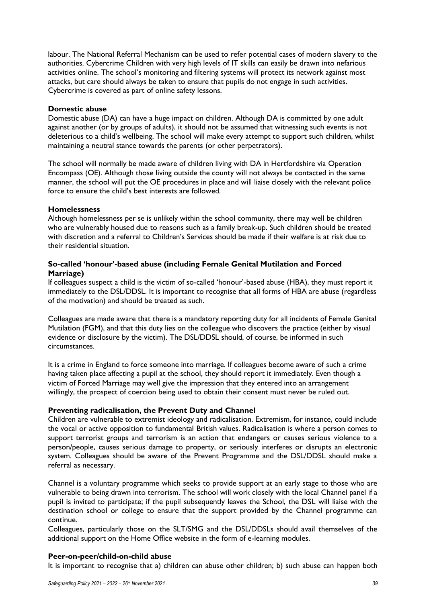labour. The National Referral Mechanism can be used to refer potential cases of modern slavery to the authorities. Cybercrime Children with very high levels of IT skills can easily be drawn into nefarious activities online. The school's monitoring and filtering systems will protect its network against most attacks, but care should always be taken to ensure that pupils do not engage in such activities. Cybercrime is covered as part of online safety lessons.

#### **Domestic abuse**

Domestic abuse (DA) can have a huge impact on children. Although DA is committed by one adult against another (or by groups of adults), it should not be assumed that witnessing such events is not deleterious to a child's wellbeing. The school will make every attempt to support such children, whilst maintaining a neutral stance towards the parents (or other perpetrators).

The school will normally be made aware of children living with DA in Hertfordshire via Operation Encompass (OE). Although those living outside the county will not always be contacted in the same manner, the school will put the OE procedures in place and will liaise closely with the relevant police force to ensure the child's best interests are followed.

#### **Homelessness**

Although homelessness per se is unlikely within the school community, there may well be children who are vulnerably housed due to reasons such as a family break-up. Such children should be treated with discretion and a referral to Children's Services should be made if their welfare is at risk due to their residential situation.

# **So-called 'honour'-based abuse (including Female Genital Mutilation and Forced Marriage)**

If colleagues suspect a child is the victim of so-called 'honour'-based abuse (HBA), they must report it immediately to the DSL/DDSL. It is important to recognise that all forms of HBA are abuse (regardless of the motivation) and should be treated as such.

Colleagues are made aware that there is a mandatory reporting duty for all incidents of Female Genital Mutilation (FGM), and that this duty lies on the colleague who discovers the practice (either by visual evidence or disclosure by the victim). The DSL/DDSL should, of course, be informed in such circumstances.

It is a crime in England to force someone into marriage. If colleagues become aware of such a crime having taken place affecting a pupil at the school, they should report it immediately. Even though a victim of Forced Marriage may well give the impression that they entered into an arrangement willingly, the prospect of coercion being used to obtain their consent must never be ruled out.

# **Preventing radicalisation, the Prevent Duty and Channel**

Children are vulnerable to extremist ideology and radicalisation. Extremism, for instance, could include the vocal or active opposition to fundamental British values. Radicalisation is where a person comes to support terrorist groups and terrorism is an action that endangers or causes serious violence to a person/people, causes serious damage to property, or seriously interferes or disrupts an electronic system. Colleagues should be aware of the Prevent Programme and the DSL/DDSL should make a referral as necessary.

Channel is a voluntary programme which seeks to provide support at an early stage to those who are vulnerable to being drawn into terrorism. The school will work closely with the local Channel panel if a pupil is invited to participate; if the pupil subsequently leaves the School, the DSL will liaise with the destination school or college to ensure that the support provided by the Channel programme can continue.

Colleagues, particularly those on the SLT/SMG and the DSL/DDSLs should avail themselves of the additional support on the Home Office website in the form of e-learning modules.

# **Peer-on-peer/child-on-child abuse**

It is important to recognise that a) children can abuse other children; b) such abuse can happen both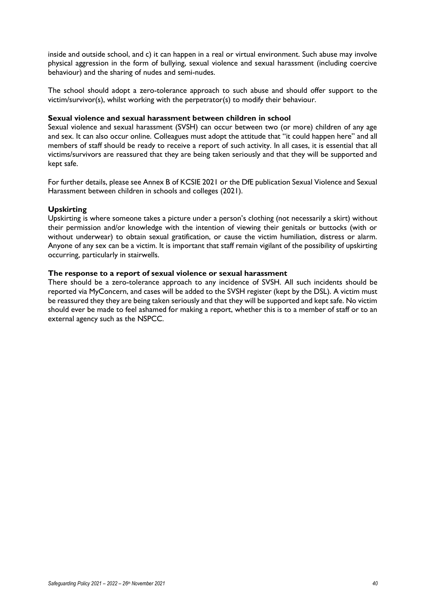inside and outside school, and c) it can happen in a real or virtual environment. Such abuse may involve physical aggression in the form of bullying, sexual violence and sexual harassment (including coercive behaviour) and the sharing of nudes and semi-nudes.

The school should adopt a zero-tolerance approach to such abuse and should offer support to the victim/survivor(s), whilst working with the perpetrator(s) to modify their behaviour.

#### **Sexual violence and sexual harassment between children in school**

Sexual violence and sexual harassment (SVSH) can occur between two (or more) children of any age and sex. It can also occur online. Colleagues must adopt the attitude that "it could happen here" and all members of staff should be ready to receive a report of such activity. In all cases, it is essential that all victims/survivors are reassured that they are being taken seriously and that they will be supported and kept safe.

For further details, please see Annex B of KCSIE 2021 or the DfE publication Sexual Violence and Sexual Harassment between children in schools and colleges (2021).

#### **Upskirting**

Upskirting is where someone takes a picture under a person's clothing (not necessarily a skirt) without their permission and/or knowledge with the intention of viewing their genitals or buttocks (with or without underwear) to obtain sexual gratification, or cause the victim humiliation, distress or alarm. Anyone of any sex can be a victim. It is important that staff remain vigilant of the possibility of upskirting occurring, particularly in stairwells.

#### **The response to a report of sexual violence or sexual harassment**

There should be a zero-tolerance approach to any incidence of SVSH. All such incidents should be reported via MyConcern, and cases will be added to the SVSH register (kept by the DSL). A victim must be reassured they they are being taken seriously and that they will be supported and kept safe. No victim should ever be made to feel ashamed for making a report, whether this is to a member of staff or to an external agency such as the NSPCC.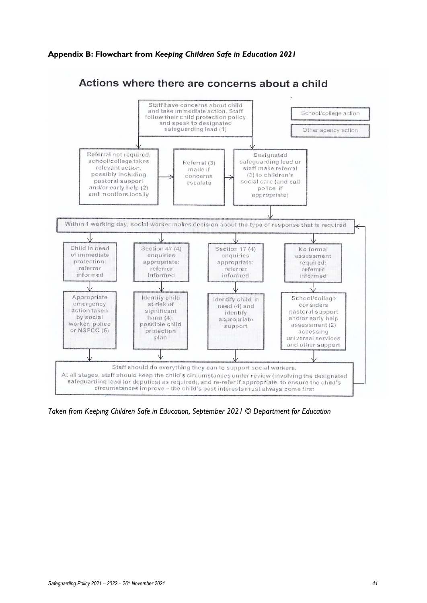#### **Appendix B: Flowchart from** *Keeping Children Safe in Education 2021*



*Taken from Keeping Children Safe in Education, September 2021 © Department for Education*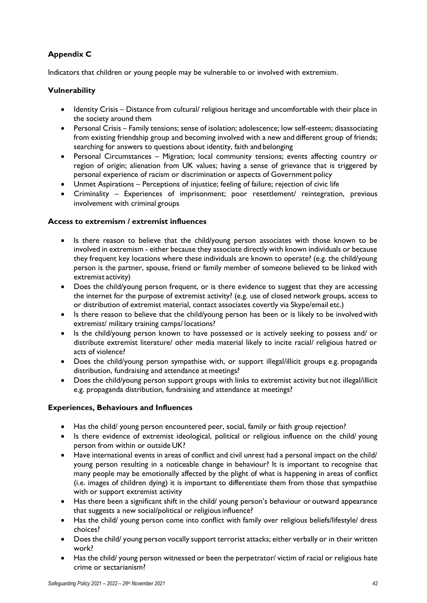# **Appendix C**

Indicators that children or young people may be vulnerable to or involved with extremism.

# **Vulnerability**

- Identity Crisis Distance from cultural/ religious heritage and uncomfortable with their place in the society around them
- Personal Crisis Family tensions; sense of isolation; adolescence; low self-esteem; disassociating from existing friendship group and becoming involved with a new and different group of friends; searching for answers to questions about identity, faith and belonging
- Personal Circumstances Migration; local community tensions; events affecting country or region of origin; alienation from UK values; having a sense of grievance that is triggered by personal experience of racism or discrimination or aspects of Government policy
- Unmet Aspirations Perceptions of injustice; feeling of failure; rejection of civic life
- Criminality Experiences of imprisonment; poor resettlement/ reintegration, previous involvement with criminal groups

# **Access to extremism / extremist influences**

- Is there reason to believe that the child/young person associates with those known to be involved in extremism - either because they associate directly with known individuals or because they frequent key locations where these individuals are known to operate? (e.g. the child/young person is the partner, spouse, friend or family member of someone believed to be linked with extremist activity)
- Does the child/young person frequent, or is there evidence to suggest that they are accessing the internet for the purpose of extremist activity? (e.g. use of closed network groups, access to or distribution of extremist material, contact associates covertly via Skype/email etc.)
- Is there reason to believe that the child/young person has been or is likely to be involved with extremist/ military training camps/ locations?
- Is the child/young person known to have possessed or is actively seeking to possess and/ or distribute extremist literature/ other media material likely to incite racial/ religious hatred or acts of violence?
- Does the child/young person sympathise with, or support illegal/illicit groups e.g. propaganda distribution, fundraising and attendance at meetings?
- Does the child/young person support groups with links to extremist activity but not illegal/illicit e.g. propaganda distribution, fundraising and attendance at meetings?

# **Experiences, Behaviours and Influences**

- Has the child/ young person encountered peer, social, family or faith group rejection?
- Is there evidence of extremist ideological, political or religious influence on the child/ young person from within or outside UK?
- Have international events in areas of conflict and civil unrest had a personal impact on the child/ young person resulting in a noticeable change in behaviour? It is important to recognise that many people may be emotionally affected by the plight of what is happening in areas of conflict (i.e. images of children dying) it is important to differentiate them from those that sympathise with or support extremist activity
- Has there been a significant shift in the child/ young person's behaviour or outward appearance that suggests a new social/political or religious influence?
- Has the child/ young person come into conflict with family over religious beliefs/lifestyle/ dress choices?
- Does the child/ young person vocally support terrorist attacks; either verbally or in their written work?
- Has the child/ young person witnessed or been the perpetrator/ victim of racial or religious hate crime or sectarianism?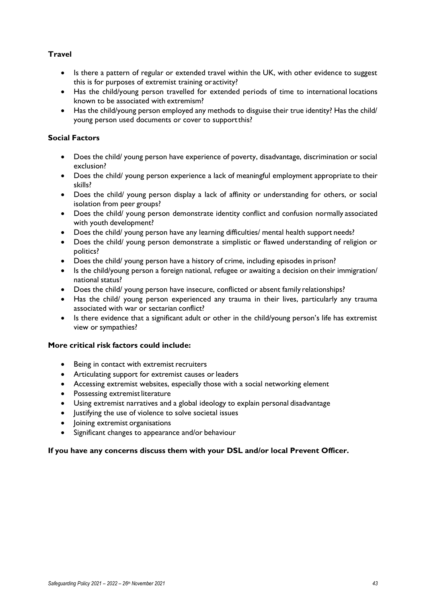# **Travel**

- Is there a pattern of regular or extended travel within the UK, with other evidence to suggest this is for purposes of extremist training oractivity?
- Has the child/young person travelled for extended periods of time to international locations known to be associated with extremism?
- Has the child/young person employed any methods to disguise their true identity? Has the child/ young person used documents or cover to supportthis?

# **Social Factors**

- Does the child/ young person have experience of poverty, disadvantage, discrimination or social exclusion?
- Does the child/ young person experience a lack of meaningful employment appropriate to their skills?
- Does the child/ young person display a lack of affinity or understanding for others, or social isolation from peer groups?
- Does the child/ young person demonstrate identity conflict and confusion normally associated with youth development?
- Does the child/ young person have any learning difficulties/ mental health support needs?
- Does the child/ young person demonstrate a simplistic or flawed understanding of religion or politics?
- Does the child/ young person have a history of crime, including episodes in prison?
- Is the child/young person a foreign national, refugee or awaiting a decision on their immigration/ national status?
- Does the child/ young person have insecure, conflicted or absent family relationships?
- Has the child/ young person experienced any trauma in their lives, particularly any trauma associated with war or sectarian conflict?
- Is there evidence that a significant adult or other in the child/young person's life has extremist view or sympathies?

# **More critical risk factors could include:**

- Being in contact with extremist recruiters
- Articulating support for extremist causes or leaders
- Accessing extremist websites, especially those with a social networking element
- Possessing extremist literature
- Using extremist narratives and a global ideology to explain personal disadvantage
- Justifying the use of violence to solve societal issues
- Joining extremist organisations
- Significant changes to appearance and/or behaviour

#### **If you have any concerns discuss them with your DSL and/or local Prevent Officer.**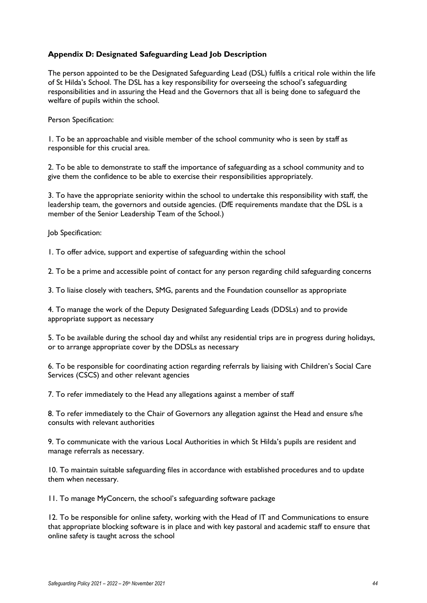# **Appendix D: Designated Safeguarding Lead Job Description**

The person appointed to be the Designated Safeguarding Lead (DSL) fulfils a critical role within the life of St Hilda's School. The DSL has a key responsibility for overseeing the school's safeguarding responsibilities and in assuring the Head and the Governors that all is being done to safeguard the welfare of pupils within the school.

Person Specification:

1. To be an approachable and visible member of the school community who is seen by staff as responsible for this crucial area.

2. To be able to demonstrate to staff the importance of safeguarding as a school community and to give them the confidence to be able to exercise their responsibilities appropriately.

3. To have the appropriate seniority within the school to undertake this responsibility with staff, the leadership team, the governors and outside agencies. (DfE requirements mandate that the DSL is a member of the Senior Leadership Team of the School.)

Job Specification:

1. To offer advice, support and expertise of safeguarding within the school

2. To be a prime and accessible point of contact for any person regarding child safeguarding concerns

3. To liaise closely with teachers, SMG, parents and the Foundation counsellor as appropriate

4. To manage the work of the Deputy Designated Safeguarding Leads (DDSLs) and to provide appropriate support as necessary

5. To be available during the school day and whilst any residential trips are in progress during holidays, or to arrange appropriate cover by the DDSLs as necessary

6. To be responsible for coordinating action regarding referrals by liaising with Children's Social Care Services (CSCS) and other relevant agencies

7. To refer immediately to the Head any allegations against a member of staff

8. To refer immediately to the Chair of Governors any allegation against the Head and ensure s/he consults with relevant authorities

9. To communicate with the various Local Authorities in which St Hilda's pupils are resident and manage referrals as necessary.

10. To maintain suitable safeguarding files in accordance with established procedures and to update them when necessary.

11. To manage MyConcern, the school's safeguarding software package

12. To be responsible for online safety, working with the Head of IT and Communications to ensure that appropriate blocking software is in place and with key pastoral and academic staff to ensure that online safety is taught across the school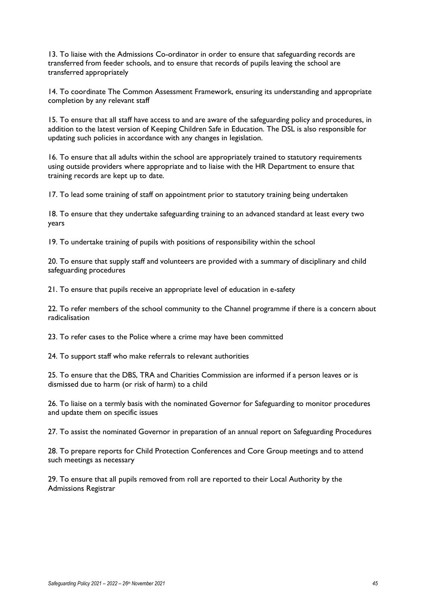13. To liaise with the Admissions Co-ordinator in order to ensure that safeguarding records are transferred from feeder schools, and to ensure that records of pupils leaving the school are transferred appropriately

14. To coordinate The Common Assessment Framework, ensuring its understanding and appropriate completion by any relevant staff

15. To ensure that all staff have access to and are aware of the safeguarding policy and procedures, in addition to the latest version of Keeping Children Safe in Education. The DSL is also responsible for updating such policies in accordance with any changes in legislation.

16. To ensure that all adults within the school are appropriately trained to statutory requirements using outside providers where appropriate and to liaise with the HR Department to ensure that training records are kept up to date.

17. To lead some training of staff on appointment prior to statutory training being undertaken

18. To ensure that they undertake safeguarding training to an advanced standard at least every two years

19. To undertake training of pupils with positions of responsibility within the school

20. To ensure that supply staff and volunteers are provided with a summary of disciplinary and child safeguarding procedures

21. To ensure that pupils receive an appropriate level of education in e-safety

22. To refer members of the school community to the Channel programme if there is a concern about radicalisation

23. To refer cases to the Police where a crime may have been committed

24. To support staff who make referrals to relevant authorities

25. To ensure that the DBS, TRA and Charities Commission are informed if a person leaves or is dismissed due to harm (or risk of harm) to a child

26. To liaise on a termly basis with the nominated Governor for Safeguarding to monitor procedures and update them on specific issues

27. To assist the nominated Governor in preparation of an annual report on Safeguarding Procedures

28. To prepare reports for Child Protection Conferences and Core Group meetings and to attend such meetings as necessary

29. To ensure that all pupils removed from roll are reported to their Local Authority by the Admissions Registrar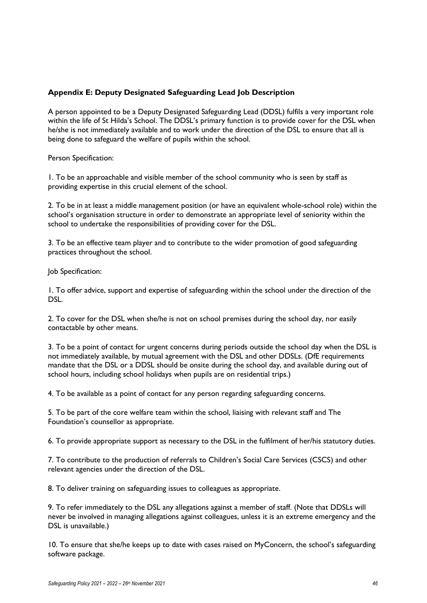# **Appendix E: Deputy Designated Safeguarding Lead Job Description**

A person appointed to be a Deputy Designated Safeguarding Lead (DDSL) fulfils a very important role within the life of St Hilda's School. The DDSL's primary function is to provide cover for the DSL when he/she is not immediately available and to work under the direction of the DSL to ensure that all is being done to safeguard the welfare of pupils within the school.

Person Specification:

1. To be an approachable and visible member of the school community who is seen by staff as providing expertise in this crucial element of the school.

2. To be in at least a middle management position (or have an equivalent whole-school role) within the school's organisation structure in order to demonstrate an appropriate level of seniority within the school to undertake the responsibilities of providing cover for the DSL.

3. To be an effective team player and to contribute to the wider promotion of good safeguarding practices throughout the school.

Job Specification:

1. To offer advice, support and expertise of safeguarding within the school under the direction of the DSL.

2. To cover for the DSL when she/he is not on school premises during the school day, nor easily contactable by other means.

3. To be a point of contact for urgent concerns during periods outside the school day when the DSL is not immediately available, by mutual agreement with the DSL and other DDSLs. (DfE requirements mandate that the DSL or a DDSL should be onsite during the school day, and available during out of school hours, including school holidays when pupils are on residential trips.)

4. To be available as a point of contact for any person regarding safeguarding concerns.

5. To be part of the core welfare team within the school, liaising with relevant staff and The Foundation's counsellor as appropriate.

6. To provide appropriate support as necessary to the DSL in the fulfilment of her/his statutory duties.

7. To contribute to the production of referrals to Children's Social Care Services (CSCS) and other relevant agencies under the direction of the DSL.

8. To deliver training on safeguarding issues to colleagues as appropriate.

9. To refer immediately to the DSL any allegations against a member of staff. (Note that DDSLs will never be involved in managing allegations against colleagues, unless it is an extreme emergency and the DSL is unavailable.)

10. To ensure that she/he keeps up to date with cases raised on MyConcern, the school's safeguarding software package.